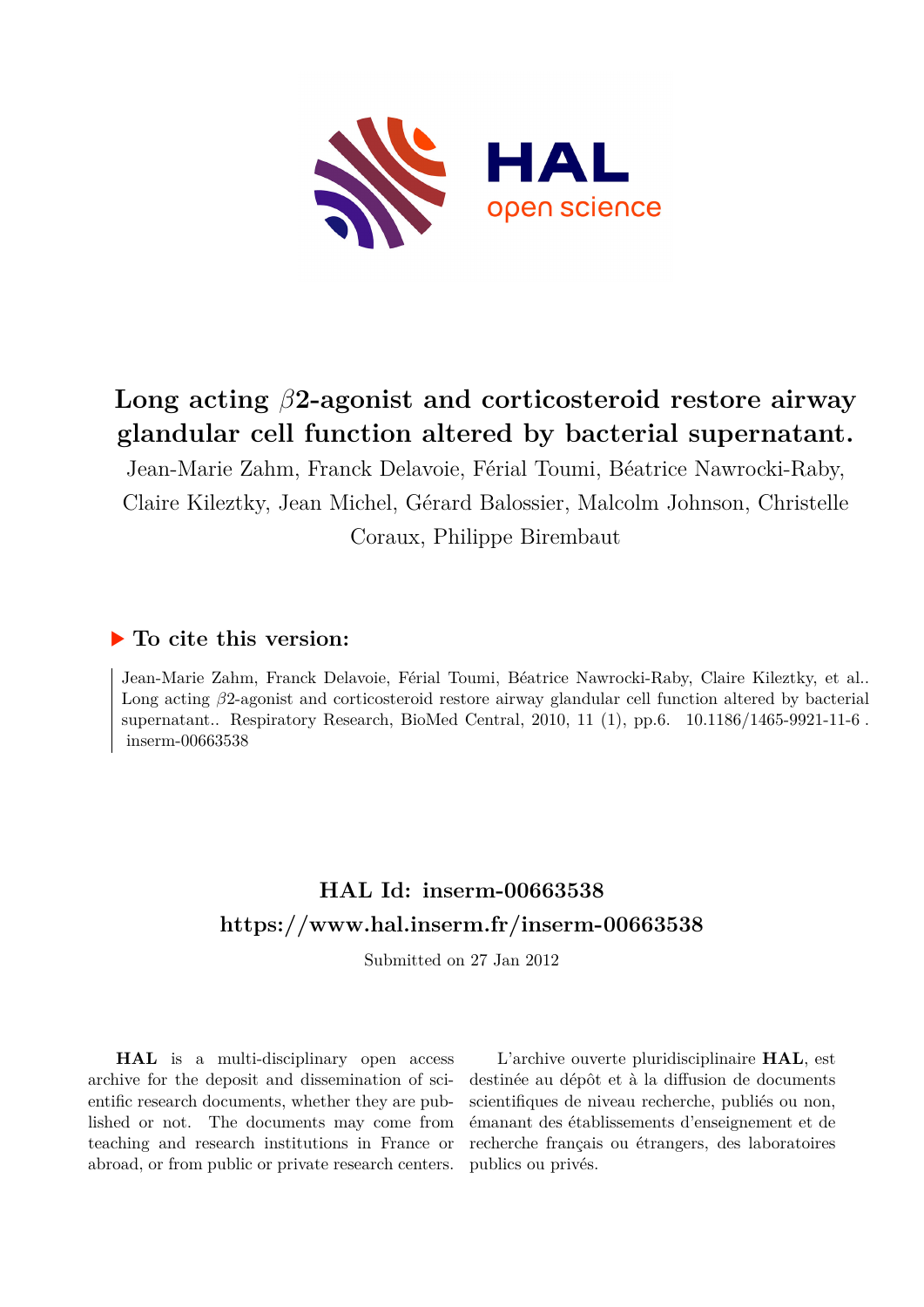

# **Long acting** *β***2-agonist and corticosteroid restore airway glandular cell function altered by bacterial supernatant.**

Jean-Marie Zahm, Franck Delavoie, Férial Toumi, Béatrice Nawrocki-Raby, Claire Kileztky, Jean Michel, Gérard Balossier, Malcolm Johnson, Christelle Coraux, Philippe Birembaut

# **To cite this version:**

Jean-Marie Zahm, Franck Delavoie, Férial Toumi, Béatrice Nawrocki-Raby, Claire Kileztky, et al.. Long acting *β*2-agonist and corticosteroid restore airway glandular cell function altered by bacterial supernatant.. Respiratory Research, BioMed Central, 2010, 11 (1), pp.6.  $10.1186/1465-9921-11-6$ .  $inserm-00663538$ 

# **HAL Id: inserm-00663538 <https://www.hal.inserm.fr/inserm-00663538>**

Submitted on 27 Jan 2012

**HAL** is a multi-disciplinary open access archive for the deposit and dissemination of scientific research documents, whether they are published or not. The documents may come from teaching and research institutions in France or abroad, or from public or private research centers.

L'archive ouverte pluridisciplinaire **HAL**, est destinée au dépôt et à la diffusion de documents scientifiques de niveau recherche, publiés ou non, émanant des établissements d'enseignement et de recherche français ou étrangers, des laboratoires publics ou privés.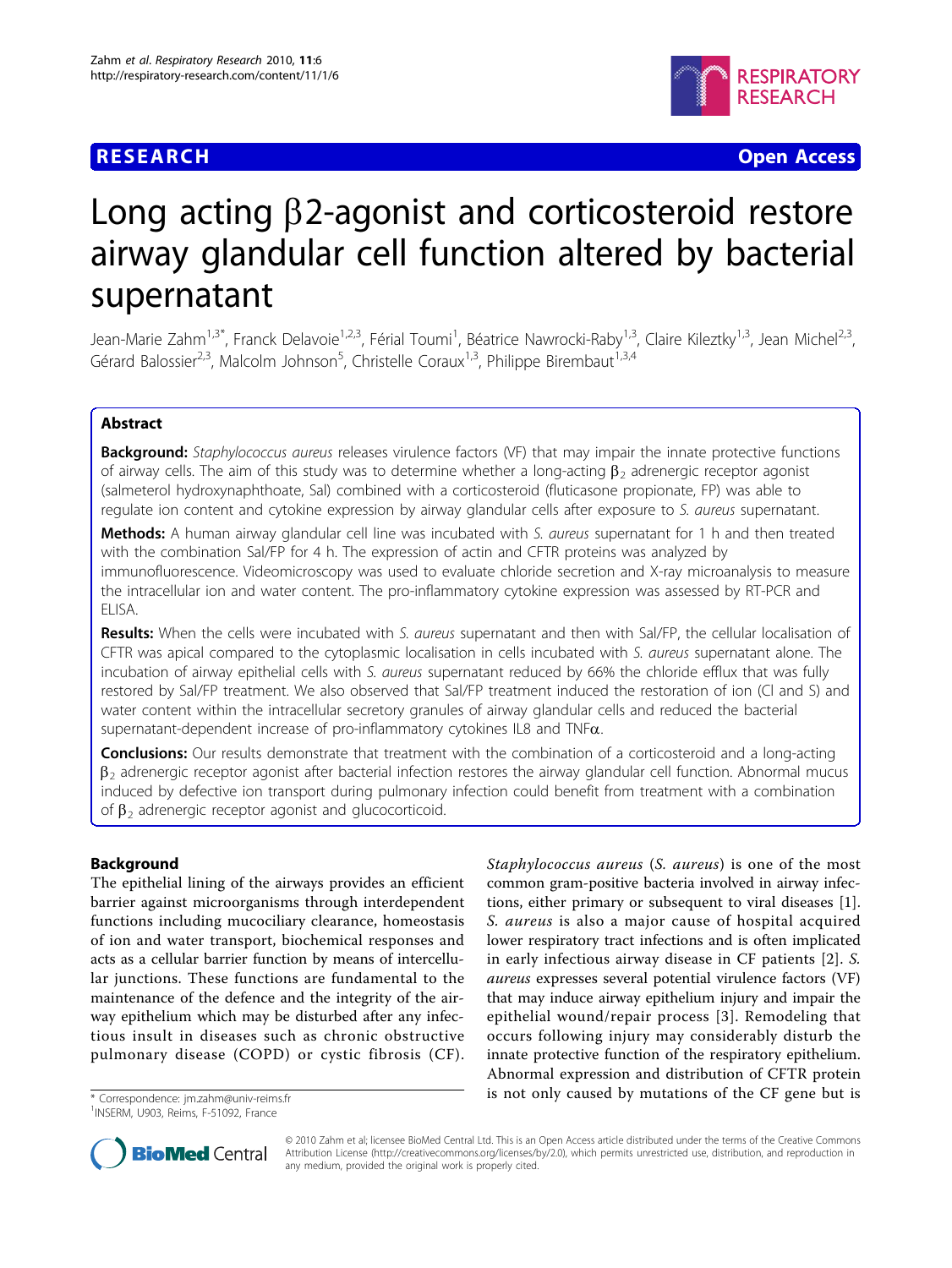# **RESEARCH CHRISTIAN CONTROL**



# Long acting  $\beta$ 2-agonist and corticosteroid restore airway glandular cell function altered by bacterial supernatant

Jean-Marie Zahm<sup>1,3\*</sup>, Franck Delavoie<sup>1,2,3</sup>, Férial Toumi<sup>1</sup>, Béatrice Nawrocki-Raby<sup>1,3</sup>, Claire Kileztky<sup>1,3</sup>, Jean Michel<sup>2,3</sup> , Gérard Balossier<sup>2,3</sup>, Malcolm Johnson<sup>5</sup>, Christelle Coraux<sup>1,3</sup>, Philippe Birembaut<sup>1,3,4</sup>

## Abstract

**Background:** Staphylococcus aureus releases virulence factors (VF) that may impair the innate protective functions of airway cells. The aim of this study was to determine whether a long-acting  $\beta_2$  adrenergic receptor agonist (salmeterol hydroxynaphthoate, Sal) combined with a corticosteroid (fluticasone propionate, FP) was able to regulate ion content and cytokine expression by airway glandular cells after exposure to S. aureus supernatant.

Methods: A human airway glandular cell line was incubated with S. aureus supernatant for 1 h and then treated with the combination Sal/FP for 4 h. The expression of actin and CFTR proteins was analyzed by immunofluorescence. Videomicroscopy was used to evaluate chloride secretion and X-ray microanalysis to measure the intracellular ion and water content. The pro-inflammatory cytokine expression was assessed by RT-PCR and ELISA.

Results: When the cells were incubated with S. aureus supernatant and then with Sal/FP, the cellular localisation of CFTR was apical compared to the cytoplasmic localisation in cells incubated with S. aureus supernatant alone. The incubation of airway epithelial cells with S. aureus supernatant reduced by 66% the chloride efflux that was fully restored by Sal/FP treatment. We also observed that Sal/FP treatment induced the restoration of ion (Cl and S) and water content within the intracellular secretory granules of airway glandular cells and reduced the bacterial supernatant-dependent increase of pro-inflammatory cytokines IL8 and  $TNF\alpha$ .

**Conclusions:** Our results demonstrate that treatment with the combination of a corticosteroid and a long-acting  $\beta_2$  adrenergic receptor agonist after bacterial infection restores the airway glandular cell function. Abnormal mucus induced by defective ion transport during pulmonary infection could benefit from treatment with a combination of  $\beta_2$  adrenergic receptor agonist and glucocorticoid.

## Background

The epithelial lining of the airways provides an efficient barrier against microorganisms through interdependent functions including mucociliary clearance, homeostasis of ion and water transport, biochemical responses and acts as a cellular barrier function by means of intercellular junctions. These functions are fundamental to the maintenance of the defence and the integrity of the airway epithelium which may be disturbed after any infectious insult in diseases such as chronic obstructive pulmonary disease (COPD) or cystic fibrosis (CF).

<sup>1</sup>INSERM, U903, Reims, F-51092, France

Staphylococcus aureus (S. aureus) is one of the most common gram-positive bacteria involved in airway infections, either primary or subsequent to viral diseases [\[1](#page-13-0)]. S. aureus is also a major cause of hospital acquired lower respiratory tract infections and is often implicated in early infectious airway disease in CF patients [[2](#page-13-0)]. S. aureus expresses several potential virulence factors (VF) that may induce airway epithelium injury and impair the epithelial wound/repair process [[3\]](#page-13-0). Remodeling that occurs following injury may considerably disturb the innate protective function of the respiratory epithelium. Abnormal expression and distribution of CFTR protein \* Correspondence: jm.zahm@univ-reims.fr **is not only caused by mutations of the CF gene but is** 



© 2010 Zahm et al; licensee BioMed Central Ltd. This is an Open Access article distributed under the terms of the Creative Commons Attribution License (http://creativecommons.org/licenses/by/2.0), which permits unrestricted use, distribution, and reproduction in any medium, provided the original work is properly cited.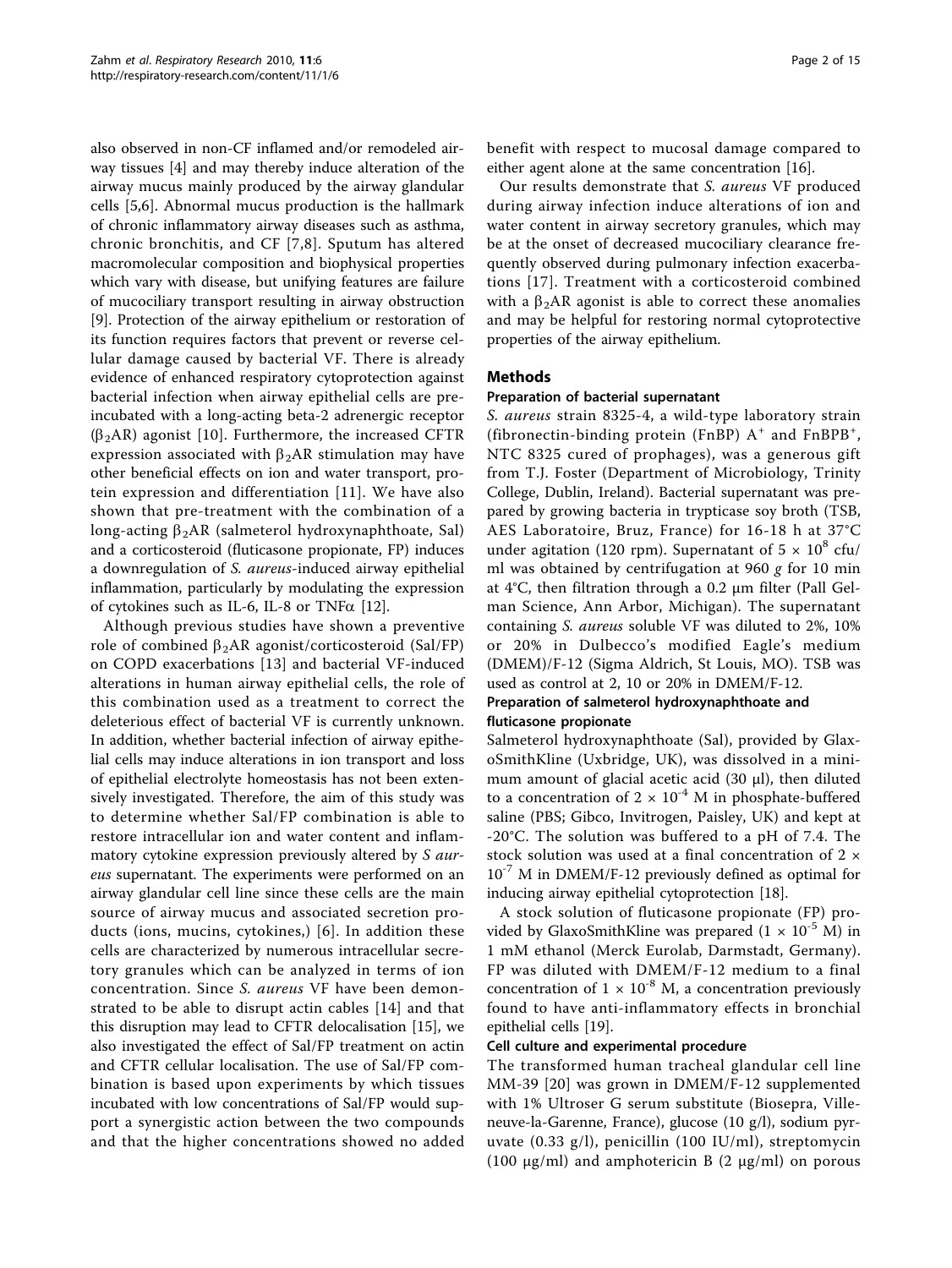also observed in non-CF inflamed and/or remodeled airway tissues [\[4](#page-13-0)] and may thereby induce alteration of the airway mucus mainly produced by the airway glandular cells [\[5](#page-13-0),[6\]](#page-13-0). Abnormal mucus production is the hallmark of chronic inflammatory airway diseases such as asthma, chronic bronchitis, and CF [[7,8\]](#page-14-0). Sputum has altered macromolecular composition and biophysical properties which vary with disease, but unifying features are failure of mucociliary transport resulting in airway obstruction [[9\]](#page-14-0). Protection of the airway epithelium or restoration of its function requires factors that prevent or reverse cellular damage caused by bacterial VF. There is already evidence of enhanced respiratory cytoprotection against bacterial infection when airway epithelial cells are preincubated with a long-acting beta-2 adrenergic receptor  $(\beta_2AR)$  agonist [[10\]](#page-14-0). Furthermore, the increased CFTR expression associated with  $\beta_2AR$  stimulation may have other beneficial effects on ion and water transport, protein expression and differentiation [[11](#page-14-0)]. We have also shown that pre-treatment with the combination of a long-acting  $\beta_2AR$  (salmeterol hydroxynaphthoate, Sal) and a corticosteroid (fluticasone propionate, FP) induces a downregulation of *S. aureus*-induced airway epithelial inflammation, particularly by modulating the expression of cytokines such as IL-6, IL-8 or TNF $\alpha$  [[12\]](#page-14-0).

Although previous studies have shown a preventive role of combined  $\beta_2AR$  agonist/corticosteroid (Sal/FP) on COPD exacerbations [[13](#page-14-0)] and bacterial VF-induced alterations in human airway epithelial cells, the role of this combination used as a treatment to correct the deleterious effect of bacterial VF is currently unknown. In addition, whether bacterial infection of airway epithelial cells may induce alterations in ion transport and loss of epithelial electrolyte homeostasis has not been extensively investigated. Therefore, the aim of this study was to determine whether Sal/FP combination is able to restore intracellular ion and water content and inflammatory cytokine expression previously altered by S aureus supernatant. The experiments were performed on an airway glandular cell line since these cells are the main source of airway mucus and associated secretion products (ions, mucins, cytokines,) [[6\]](#page-13-0). In addition these cells are characterized by numerous intracellular secretory granules which can be analyzed in terms of ion concentration. Since S. aureus VF have been demonstrated to be able to disrupt actin cables [[14](#page-14-0)] and that this disruption may lead to CFTR delocalisation [[15\]](#page-14-0), we also investigated the effect of Sal/FP treatment on actin and CFTR cellular localisation. The use of Sal/FP combination is based upon experiments by which tissues incubated with low concentrations of Sal/FP would support a synergistic action between the two compounds and that the higher concentrations showed no added benefit with respect to mucosal damage compared to either agent alone at the same concentration [\[16\]](#page-14-0).

Our results demonstrate that S. aureus VF produced during airway infection induce alterations of ion and water content in airway secretory granules, which may be at the onset of decreased mucociliary clearance frequently observed during pulmonary infection exacerbations [[17](#page-14-0)]. Treatment with a corticosteroid combined with a  $\beta_2$ AR agonist is able to correct these anomalies and may be helpful for restoring normal cytoprotective properties of the airway epithelium.

#### Methods

#### Preparation of bacterial supernatant

S. aureus strain 8325-4, a wild-type laboratory strain (fibronectin-binding protein (FnBP)  $A^+$  and FnBPB<sup>+</sup>, NTC 8325 cured of prophages), was a generous gift from T.J. Foster (Department of Microbiology, Trinity College, Dublin, Ireland). Bacterial supernatant was prepared by growing bacteria in trypticase soy broth (TSB, AES Laboratoire, Bruz, France) for 16-18 h at 37°C under agitation (120 rpm). Supernatant of  $5 \times 10^8$  cfu/ ml was obtained by centrifugation at 960  $g$  for 10 min at 4°C, then filtration through a 0.2 μm filter (Pall Gelman Science, Ann Arbor, Michigan). The supernatant containing S. aureus soluble VF was diluted to 2%, 10% or 20% in Dulbecco's modified Eagle's medium (DMEM)/F-12 (Sigma Aldrich, St Louis, MO). TSB was used as control at 2, 10 or 20% in DMEM/F-12.

#### Preparation of salmeterol hydroxynaphthoate and fluticasone propionate

Salmeterol hydroxynaphthoate (Sal), provided by GlaxoSmithKline (Uxbridge, UK), was dissolved in a minimum amount of glacial acetic acid (30 μl), then diluted to a concentration of  $2 \times 10^{-4}$  M in phosphate-buffered saline (PBS; Gibco, Invitrogen, Paisley, UK) and kept at -20°C. The solution was buffered to a pH of 7.4. The stock solution was used at a final concentration of 2 ×  $10^{-7}$  M in DMEM/F-12 previously defined as optimal for inducing airway epithelial cytoprotection [\[18](#page-14-0)].

A stock solution of fluticasone propionate (FP) provided by GlaxoSmithKline was prepared  $(1 \times 10^{-5}$  M) in 1 mM ethanol (Merck Eurolab, Darmstadt, Germany). FP was diluted with DMEM/F-12 medium to a final concentration of  $1 \times 10^{-8}$  M, a concentration previously found to have anti-inflammatory effects in bronchial epithelial cells [[19\]](#page-14-0).

#### Cell culture and experimental procedure

The transformed human tracheal glandular cell line MM-39 [[20](#page-14-0)] was grown in DMEM/F-12 supplemented with 1% Ultroser G serum substitute (Biosepra, Villeneuve-la-Garenne, France), glucose (10 g/l), sodium pyruvate (0.33 g/l), penicillin (100 IU/ml), streptomycin (100  $\mu$ g/ml) and amphotericin B (2  $\mu$ g/ml) on porous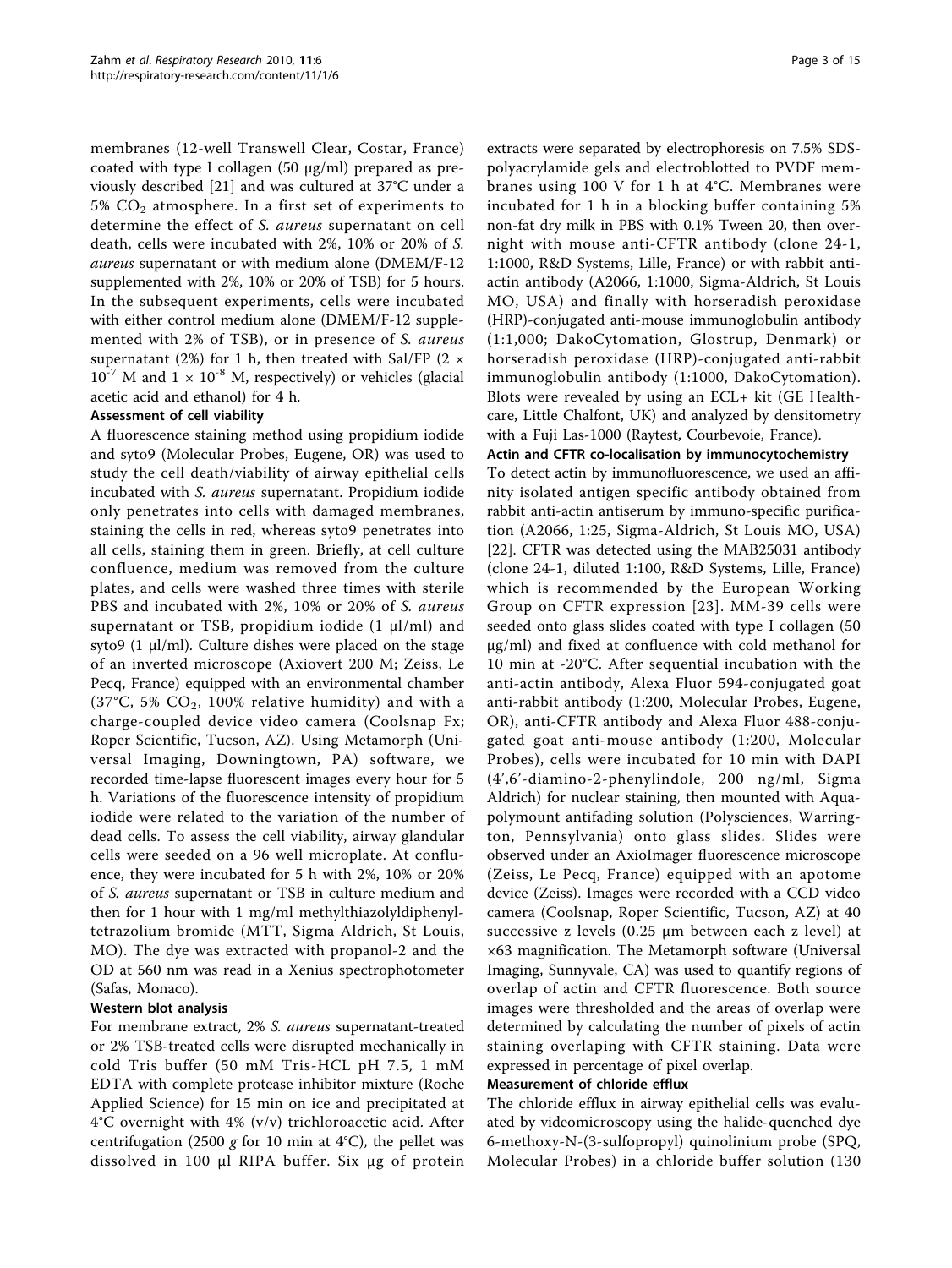membranes (12-well Transwell Clear, Costar, France) coated with type I collagen (50 μg/ml) prepared as previously described [[21\]](#page-14-0) and was cultured at 37°C under a 5%  $CO<sub>2</sub>$  atmosphere. In a first set of experiments to determine the effect of S. aureus supernatant on cell death, cells were incubated with 2%, 10% or 20% of S. aureus supernatant or with medium alone (DMEM/F-12 supplemented with 2%, 10% or 20% of TSB) for 5 hours. In the subsequent experiments, cells were incubated with either control medium alone (DMEM/F-12 supplemented with 2% of TSB), or in presence of S. aureus supernatant (2%) for 1 h, then treated with Sal/FP (2  $\times$  $10^{-7}$  M and  $1 \times 10^{-8}$  M, respectively) or vehicles (glacial acetic acid and ethanol) for 4 h.

#### Assessment of cell viability

A fluorescence staining method using propidium iodide and syto9 (Molecular Probes, Eugene, OR) was used to study the cell death/viability of airway epithelial cells incubated with S. aureus supernatant. Propidium iodide only penetrates into cells with damaged membranes, staining the cells in red, whereas syto9 penetrates into all cells, staining them in green. Briefly, at cell culture confluence, medium was removed from the culture plates, and cells were washed three times with sterile PBS and incubated with 2%, 10% or 20% of S. aureus supernatant or TSB, propidium iodide  $(1 \mu l/ml)$  and syto9 (1 μl/ml). Culture dishes were placed on the stage of an inverted microscope (Axiovert 200 M; Zeiss, Le Pecq, France) equipped with an environmental chamber (37°C, 5%  $CO<sub>2</sub>$ , 100% relative humidity) and with a charge-coupled device video camera (Coolsnap Fx; Roper Scientific, Tucson, AZ). Using Metamorph (Universal Imaging, Downingtown, PA) software, we recorded time-lapse fluorescent images every hour for 5 h. Variations of the fluorescence intensity of propidium iodide were related to the variation of the number of dead cells. To assess the cell viability, airway glandular cells were seeded on a 96 well microplate. At confluence, they were incubated for 5 h with 2%, 10% or 20% of S. aureus supernatant or TSB in culture medium and then for 1 hour with 1 mg/ml methylthiazolyldiphenyltetrazolium bromide (MTT, Sigma Aldrich, St Louis, MO). The dye was extracted with propanol-2 and the OD at 560 nm was read in a Xenius spectrophotometer (Safas, Monaco).

#### Western blot analysis

For membrane extract, 2% S. aureus supernatant-treated or 2% TSB-treated cells were disrupted mechanically in cold Tris buffer (50 mM Tris-HCL pH 7.5, 1 mM EDTA with complete protease inhibitor mixture (Roche Applied Science) for 15 min on ice and precipitated at 4°C overnight with 4% (v/v) trichloroacetic acid. After centrifugation (2500 g for 10 min at 4°C), the pellet was dissolved in 100 μl RIPA buffer. Six μg of protein extracts were separated by electrophoresis on 7.5% SDSpolyacrylamide gels and electroblotted to PVDF membranes using 100 V for 1 h at 4°C. Membranes were incubated for 1 h in a blocking buffer containing 5% non-fat dry milk in PBS with 0.1% Tween 20, then overnight with mouse anti-CFTR antibody (clone 24-1, 1:1000, R&D Systems, Lille, France) or with rabbit antiactin antibody (A2066, 1:1000, Sigma-Aldrich, St Louis MO, USA) and finally with horseradish peroxidase (HRP)-conjugated anti-mouse immunoglobulin antibody (1:1,000; DakoCytomation, Glostrup, Denmark) or horseradish peroxidase (HRP)-conjugated anti-rabbit immunoglobulin antibody (1:1000, DakoCytomation). Blots were revealed by using an ECL+ kit (GE Healthcare, Little Chalfont, UK) and analyzed by densitometry with a Fuji Las-1000 (Raytest, Courbevoie, France).

#### Actin and CFTR co-localisation by immunocytochemistry

To detect actin by immunofluorescence, we used an affinity isolated antigen specific antibody obtained from rabbit anti-actin antiserum by immuno-specific purification (A2066, 1:25, Sigma-Aldrich, St Louis MO, USA) [[22\]](#page-14-0). CFTR was detected using the MAB25031 antibody (clone 24-1, diluted 1:100, R&D Systems, Lille, France) which is recommended by the European Working Group on CFTR expression [[23](#page-14-0)]. MM-39 cells were seeded onto glass slides coated with type I collagen (50 μg/ml) and fixed at confluence with cold methanol for 10 min at -20°C. After sequential incubation with the anti-actin antibody, Alexa Fluor 594-conjugated goat anti-rabbit antibody (1:200, Molecular Probes, Eugene, OR), anti-CFTR antibody and Alexa Fluor 488-conjugated goat anti-mouse antibody (1:200, Molecular Probes), cells were incubated for 10 min with DAPI (4',6'-diamino-2-phenylindole, 200 ng/ml, Sigma Aldrich) for nuclear staining, then mounted with Aquapolymount antifading solution (Polysciences, Warrington, Pennsylvania) onto glass slides. Slides were observed under an AxioImager fluorescence microscope (Zeiss, Le Pecq, France) equipped with an apotome device (Zeiss). Images were recorded with a CCD video camera (Coolsnap, Roper Scientific, Tucson, AZ) at 40 successive z levels (0.25 μm between each z level) at ×63 magnification. The Metamorph software (Universal Imaging, Sunnyvale, CA) was used to quantify regions of overlap of actin and CFTR fluorescence. Both source images were thresholded and the areas of overlap were determined by calculating the number of pixels of actin staining overlaping with CFTR staining. Data were expressed in percentage of pixel overlap.

#### Measurement of chloride efflux

The chloride efflux in airway epithelial cells was evaluated by videomicroscopy using the halide-quenched dye 6-methoxy-N-(3-sulfopropyl) quinolinium probe (SPQ, Molecular Probes) in a chloride buffer solution (130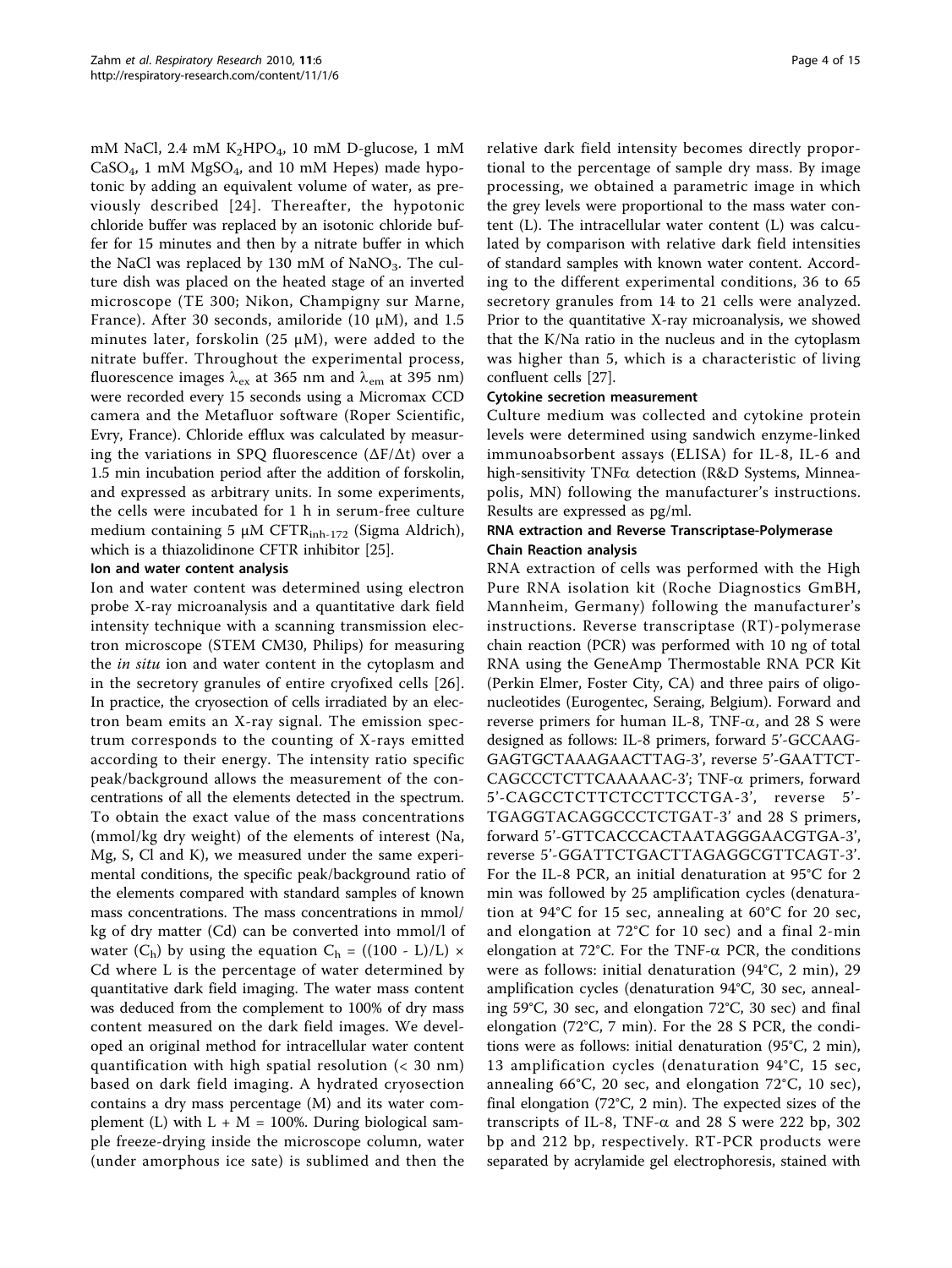mM NaCl, 2.4 mM  $K_2$ HPO<sub>4</sub>, 10 mM D-glucose, 1 mM  $\rm CaSO_4$ , 1 mM MgSO $_4$ , and 10 mM Hepes) made hypotonic by adding an equivalent volume of water, as previously described [[24](#page-14-0)]. Thereafter, the hypotonic chloride buffer was replaced by an isotonic chloride buffer for 15 minutes and then by a nitrate buffer in which the NaCl was replaced by 130 mM of NaNO $_3$ . The culture dish was placed on the heated stage of an inverted microscope (TE 300; Nikon, Champigny sur Marne, France). After 30 seconds, amiloride (10 μM), and 1.5 minutes later, forskolin (25  $\mu$ M), were added to the nitrate buffer. Throughout the experimental process, fluorescence images  $\lambda_{ex}$  at 365 nm and  $\lambda_{em}$  at 395 nm) were recorded every 15 seconds using a Micromax CCD camera and the Metafluor software (Roper Scientific, Evry, France). Chloride efflux was calculated by measuring the variations in SPQ fluorescence (∆F/∆t) over a 1.5 min incubation period after the addition of forskolin, and expressed as arbitrary units. In some experiments, the cells were incubated for 1 h in serum-free culture medium containing 5 μM CFTR<sub>inh-172</sub> (Sigma Aldrich), which is a thiazolidinone CFTR inhibitor [[25](#page-14-0)].

#### Ion and water content analysis

Ion and water content was determined using electron probe X-ray microanalysis and a quantitative dark field intensity technique with a scanning transmission electron microscope (STEM CM30, Philips) for measuring the *in situ* ion and water content in the cytoplasm and in the secretory granules of entire cryofixed cells [[26](#page-14-0)]. In practice, the cryosection of cells irradiated by an electron beam emits an X-ray signal. The emission spectrum corresponds to the counting of X-rays emitted according to their energy. The intensity ratio specific peak/background allows the measurement of the concentrations of all the elements detected in the spectrum. To obtain the exact value of the mass concentrations (mmol/kg dry weight) of the elements of interest (Na, Mg, S, Cl and K), we measured under the same experimental conditions, the specific peak/background ratio of the elements compared with standard samples of known mass concentrations. The mass concentrations in mmol/ kg of dry matter (Cd) can be converted into mmol/l of water  $(C_h)$  by using the equation  $C_h = ((100 - L)/L) \times$ Cd where L is the percentage of water determined by quantitative dark field imaging. The water mass content was deduced from the complement to 100% of dry mass content measured on the dark field images. We developed an original method for intracellular water content quantification with high spatial resolution (< 30 nm) based on dark field imaging. A hydrated cryosection contains a dry mass percentage (M) and its water complement (L) with  $L + M = 100\%$ . During biological sample freeze-drying inside the microscope column, water (under amorphous ice sate) is sublimed and then the relative dark field intensity becomes directly proportional to the percentage of sample dry mass. By image processing, we obtained a parametric image in which the grey levels were proportional to the mass water content (L). The intracellular water content (L) was calculated by comparison with relative dark field intensities of standard samples with known water content. According to the different experimental conditions, 36 to 65 secretory granules from 14 to 21 cells were analyzed. Prior to the quantitative X-ray microanalysis, we showed that the K/Na ratio in the nucleus and in the cytoplasm was higher than 5, which is a characteristic of living confluent cells [\[27](#page-14-0)].

## Cytokine secretion measurement

Culture medium was collected and cytokine protein levels were determined using sandwich enzyme-linked immunoabsorbent assays (ELISA) for IL-8, IL-6 and high-sensitivity TNFa detection (R&D Systems, Minneapolis, MN) following the manufacturer's instructions. Results are expressed as pg/ml.

#### RNA extraction and Reverse Transcriptase-Polymerase Chain Reaction analysis

RNA extraction of cells was performed with the High Pure RNA isolation kit (Roche Diagnostics GmBH, Mannheim, Germany) following the manufacturer's instructions. Reverse transcriptase (RT)-polymerase chain reaction (PCR) was performed with 10 ng of total RNA using the GeneAmp Thermostable RNA PCR Kit (Perkin Elmer, Foster City, CA) and three pairs of oligonucleotides (Eurogentec, Seraing, Belgium). Forward and reverse primers for human IL-8, TNF- $\alpha$ , and 28 S were designed as follows: IL-8 primers, forward 5'-GCCAAG-GAGTGCTAAAGAACTTAG-3', reverse 5'-GAATTCT-CAGCCCTCTTCAAAAAC-3'; TNF-a primers, forward 5'-CAGCCTCTTCTCCTTCCTGA-3', reverse 5'- TGAGGTACAGGCCCTCTGAT-3' and 28 S primers, forward 5'-GTTCACCCACTAATAGGGAACGTGA-3', reverse 5'-GGATTCTGACTTAGAGGCGTTCAGT-3'. For the IL-8 PCR, an initial denaturation at 95°C for 2 min was followed by 25 amplification cycles (denaturation at 94°C for 15 sec, annealing at 60°C for 20 sec, and elongation at 72°C for 10 sec) and a final 2-min elongation at 72°C. For the TNF- $\alpha$  PCR, the conditions were as follows: initial denaturation (94°C, 2 min), 29 amplification cycles (denaturation 94°C, 30 sec, annealing 59°C, 30 sec, and elongation 72°C, 30 sec) and final elongation (72°C, 7 min). For the 28 S PCR, the conditions were as follows: initial denaturation (95°C, 2 min), 13 amplification cycles (denaturation 94°C, 15 sec, annealing 66°C, 20 sec, and elongation 72°C, 10 sec), final elongation (72°C, 2 min). The expected sizes of the transcripts of IL-8, TNF- $\alpha$  and 28 S were 222 bp, 302 bp and 212 bp, respectively. RT-PCR products were separated by acrylamide gel electrophoresis, stained with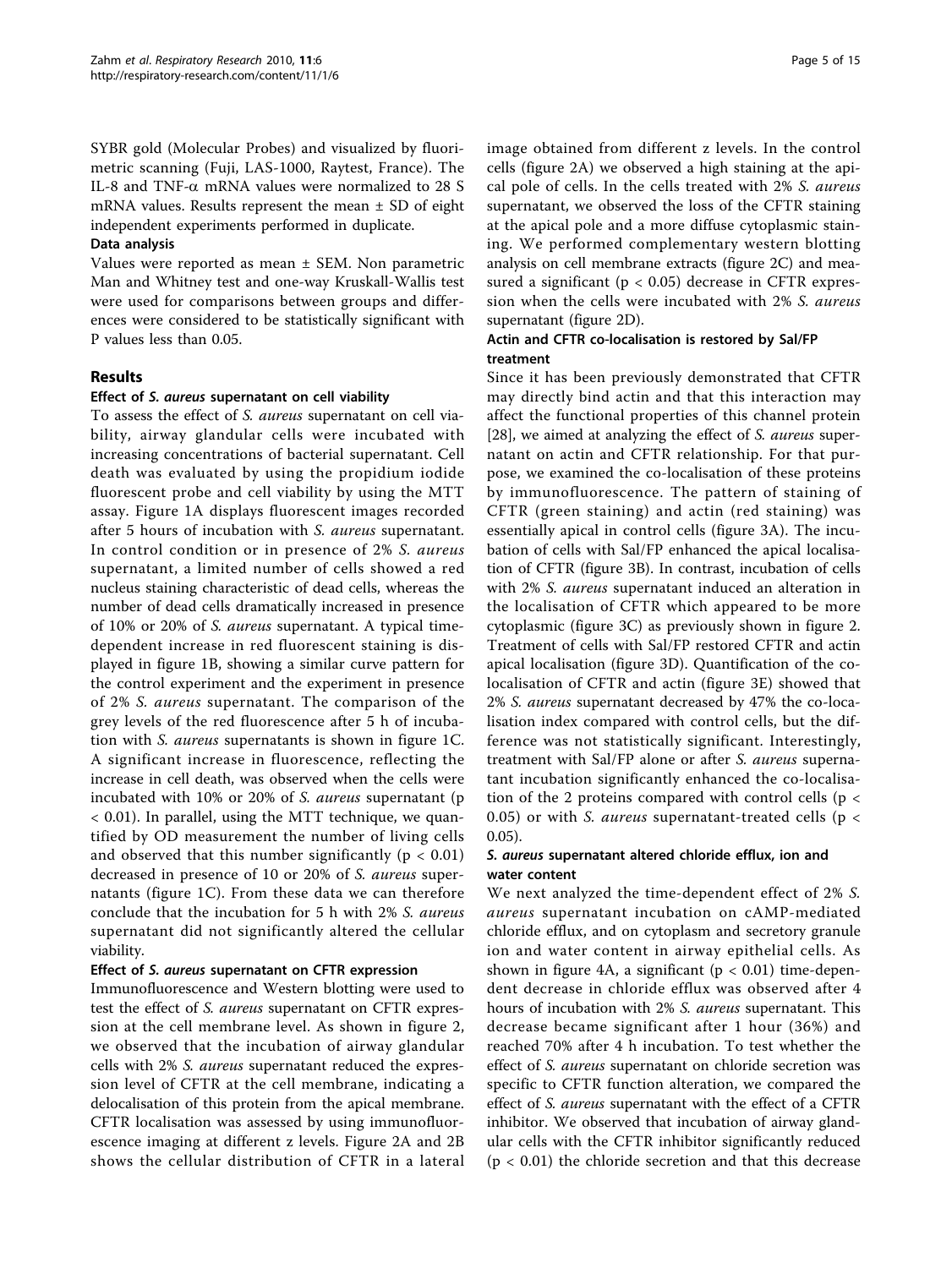SYBR gold (Molecular Probes) and visualized by fluorimetric scanning (Fuji, LAS-1000, Raytest, France). The IL-8 and TNF- $\alpha$  mRNA values were normalized to 28 S mRNA values. Results represent the mean  $\pm$  SD of eight independent experiments performed in duplicate.

#### Data analysis

Values were reported as mean ± SEM. Non parametric Man and Whitney test and one-way Kruskall-Wallis test were used for comparisons between groups and differences were considered to be statistically significant with P values less than 0.05.

#### Results

#### Effect of S. aureus supernatant on cell viability

To assess the effect of S. aureus supernatant on cell viability, airway glandular cells were incubated with increasing concentrations of bacterial supernatant. Cell death was evaluated by using the propidium iodide fluorescent probe and cell viability by using the MTT assay. Figure [1A](#page-6-0) displays fluorescent images recorded after 5 hours of incubation with S. aureus supernatant. In control condition or in presence of 2% S. aureus supernatant, a limited number of cells showed a red nucleus staining characteristic of dead cells, whereas the number of dead cells dramatically increased in presence of 10% or 20% of S. aureus supernatant. A typical timedependent increase in red fluorescent staining is displayed in figure [1B,](#page-6-0) showing a similar curve pattern for the control experiment and the experiment in presence of 2% S. aureus supernatant. The comparison of the grey levels of the red fluorescence after 5 h of incubation with S. aureus supernatants is shown in figure [1C](#page-6-0). A significant increase in fluorescence, reflecting the increase in cell death, was observed when the cells were incubated with 10% or 20% of S. aureus supernatant (p < 0.01). In parallel, using the MTT technique, we quantified by OD measurement the number of living cells and observed that this number significantly ( $p < 0.01$ ) decreased in presence of 10 or 20% of S. aureus supernatants (figure [1C](#page-6-0)). From these data we can therefore conclude that the incubation for 5 h with 2% S. aureus supernatant did not significantly altered the cellular viability.

#### Effect of S. aureus supernatant on CFTR expression

Immunofluorescence and Western blotting were used to test the effect of S. aureus supernatant on CFTR expression at the cell membrane level. As shown in figure [2](#page-7-0), we observed that the incubation of airway glandular cells with 2% S. aureus supernatant reduced the expression level of CFTR at the cell membrane, indicating a delocalisation of this protein from the apical membrane. CFTR localisation was assessed by using immunofluorescence imaging at different z levels. Figure [2A](#page-7-0) and [2B](#page-7-0) shows the cellular distribution of CFTR in a lateral image obtained from different z levels. In the control cells (figure [2A\)](#page-7-0) we observed a high staining at the apical pole of cells. In the cells treated with 2% S. aureus supernatant, we observed the loss of the CFTR staining at the apical pole and a more diffuse cytoplasmic staining. We performed complementary western blotting analysis on cell membrane extracts (figure [2C](#page-7-0)) and measured a significant ( $p < 0.05$ ) decrease in CFTR expression when the cells were incubated with 2% S. aureus supernatant (figure [2D\)](#page-7-0).

#### Actin and CFTR co-localisation is restored by Sal/FP treatment

Since it has been previously demonstrated that CFTR may directly bind actin and that this interaction may affect the functional properties of this channel protein [[28\]](#page-14-0), we aimed at analyzing the effect of S. *aureus* supernatant on actin and CFTR relationship. For that purpose, we examined the co-localisation of these proteins by immunofluorescence. The pattern of staining of CFTR (green staining) and actin (red staining) was essentially apical in control cells (figure [3A\)](#page-8-0). The incubation of cells with Sal/FP enhanced the apical localisation of CFTR (figure [3B\)](#page-8-0). In contrast, incubation of cells with 2% S. aureus supernatant induced an alteration in the localisation of CFTR which appeared to be more cytoplasmic (figure [3C](#page-8-0)) as previously shown in figure [2](#page-7-0). Treatment of cells with Sal/FP restored CFTR and actin apical localisation (figure [3D](#page-8-0)). Quantification of the colocalisation of CFTR and actin (figure [3E](#page-8-0)) showed that 2% S. aureus supernatant decreased by 47% the co-localisation index compared with control cells, but the difference was not statistically significant. Interestingly, treatment with Sal/FP alone or after S. aureus supernatant incubation significantly enhanced the co-localisation of the 2 proteins compared with control cells ( $p <$ 0.05) or with *S. aureus* supernatant-treated cells ( $p <$ 0.05).

#### S. aureus supernatant altered chloride efflux, ion and water content

We next analyzed the time-dependent effect of 2% S. aureus supernatant incubation on cAMP-mediated chloride efflux, and on cytoplasm and secretory granule ion and water content in airway epithelial cells. As shown in figure [4A](#page-9-0), a significant ( $p < 0.01$ ) time-dependent decrease in chloride efflux was observed after 4 hours of incubation with 2% S. aureus supernatant. This decrease became significant after 1 hour (36%) and reached 70% after 4 h incubation. To test whether the effect of S. aureus supernatant on chloride secretion was specific to CFTR function alteration, we compared the effect of S. aureus supernatant with the effect of a CFTR inhibitor. We observed that incubation of airway glandular cells with the CFTR inhibitor significantly reduced  $(p < 0.01)$  the chloride secretion and that this decrease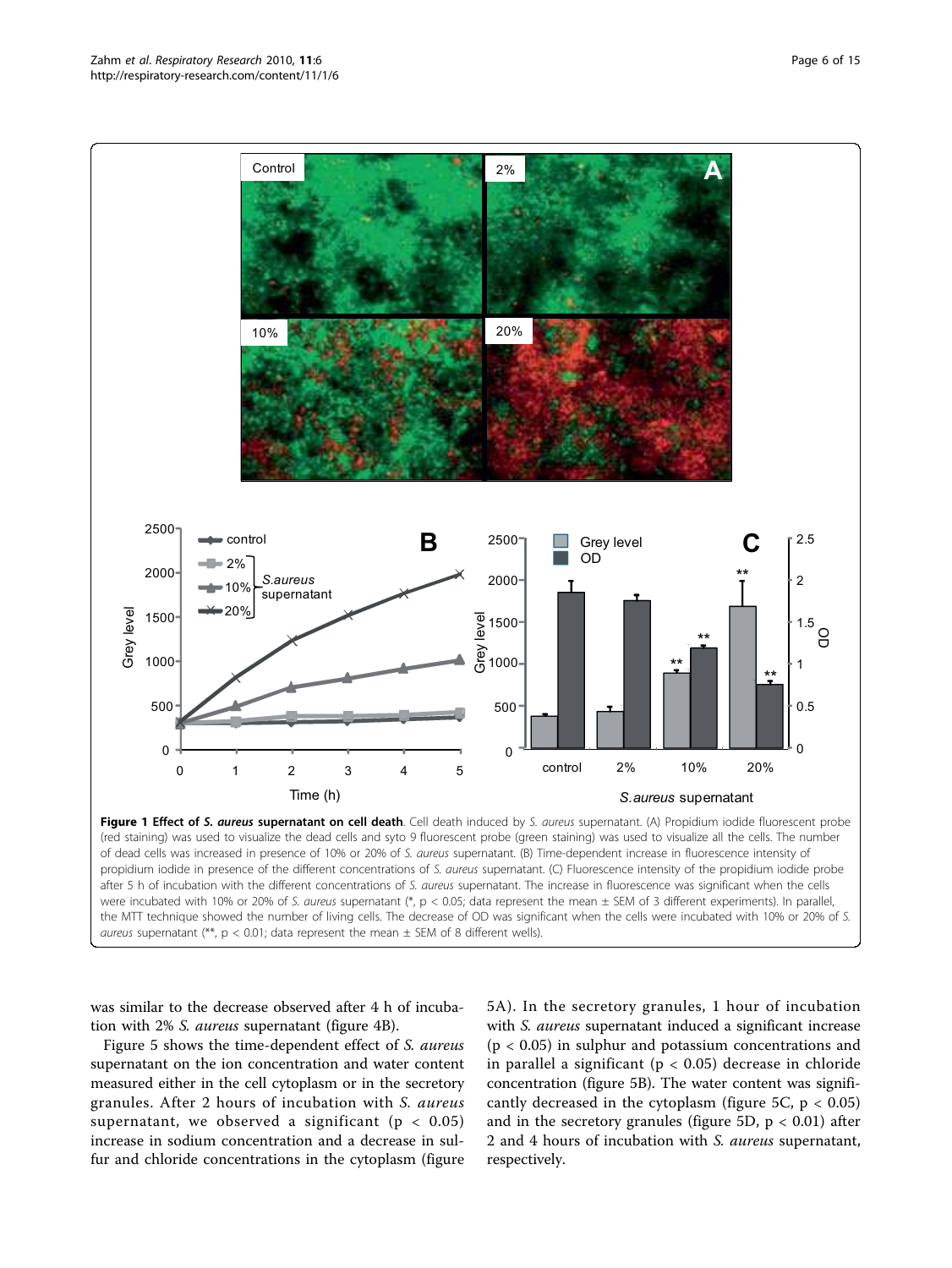<span id="page-6-0"></span>

(red staining) was used to visualize the dead cells and syto 9 fluorescent probe (green staining) was used to visualize all the cells. The number of dead cells was increased in presence of 10% or 20% of S. aureus supernatant. (B) Time-dependent increase in fluorescence intensity of propidium iodide in presence of the different concentrations of S. aureus supernatant. (C) Fluorescence intensity of the propidium iodide probe after 5 h of incubation with the different concentrations of S. aureus supernatant. The increase in fluorescence was significant when the cells were incubated with 10% or 20% of S. aureus supernatant (\*, p < 0.05; data represent the mean ± SEM of 3 different experiments). In parallel, the MTT technique showed the number of living cells. The decrease of OD was significant when the cells were incubated with 10% or 20% of S. aureus supernatant (\*\*,  $p < 0.01$ ; data represent the mean  $\pm$  SEM of 8 different wells).

was similar to the decrease observed after 4 h of incubation with 2% S. aureus supernatant (figure [4B\)](#page-9-0).

Figure [5](#page-10-0) shows the time-dependent effect of S. aureus supernatant on the ion concentration and water content measured either in the cell cytoplasm or in the secretory granules. After 2 hours of incubation with S. aureus supernatant, we observed a significant ( $p < 0.05$ ) increase in sodium concentration and a decrease in sulfur and chloride concentrations in the cytoplasm (figure [5A](#page-10-0)). In the secretory granules, 1 hour of incubation with *S. aureus* supernatant induced a significant increase  $(p < 0.05)$  in sulphur and potassium concentrations and in parallel a significant ( $p < 0.05$ ) decrease in chloride concentration (figure [5B\)](#page-10-0). The water content was signifi-cantly decreased in the cytoplasm (figure [5C,](#page-10-0)  $p < 0.05$ ) and in the secretory granules (figure [5D](#page-10-0),  $p < 0.01$ ) after 2 and 4 hours of incubation with S. aureus supernatant, respectively.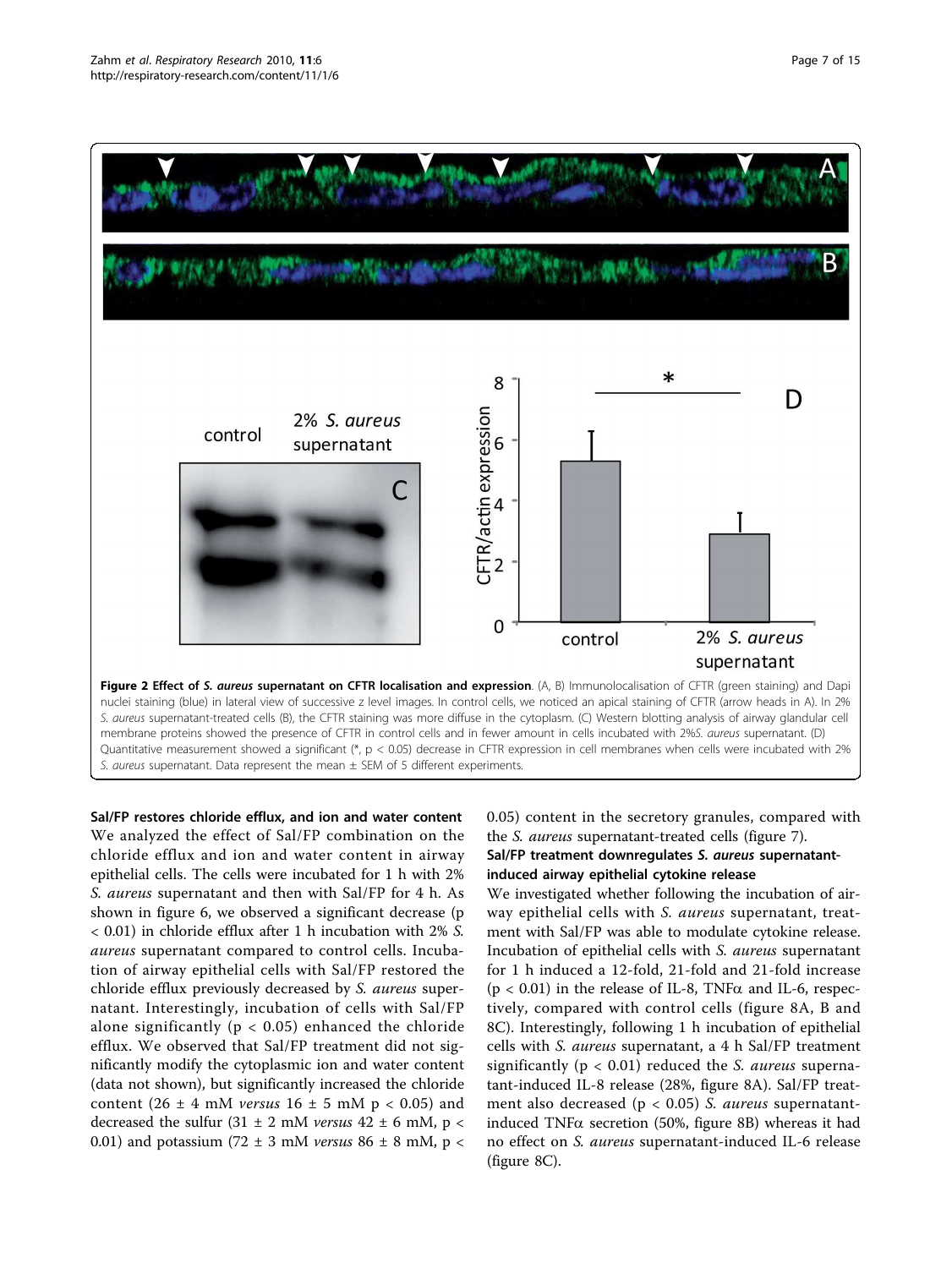<span id="page-7-0"></span>

Sal/FP restores chloride efflux, and ion and water content We analyzed the effect of Sal/FP combination on the chloride efflux and ion and water content in airway epithelial cells. The cells were incubated for 1 h with 2% S. aureus supernatant and then with Sal/FP for 4 h. As shown in figure [6](#page-11-0), we observed a significant decrease (p < 0.01) in chloride efflux after 1 h incubation with 2% S. aureus supernatant compared to control cells. Incubation of airway epithelial cells with Sal/FP restored the chloride efflux previously decreased by S. aureus supernatant. Interestingly, incubation of cells with Sal/FP alone significantly ( $p < 0.05$ ) enhanced the chloride efflux. We observed that Sal/FP treatment did not significantly modify the cytoplasmic ion and water content (data not shown), but significantly increased the chloride content (26  $\pm$  4 mM versus 16  $\pm$  5 mM p < 0.05) and decreased the sulfur  $(31 \pm 2 \text{ mM}$  versus  $42 \pm 6 \text{ mM}$ , p < 0.01) and potassium (72  $\pm$  3 mM versus 86  $\pm$  8 mM, p <

## 0.05) content in the secretory granules, compared with the S. aureus supernatant-treated cells (figure [7](#page-11-0)). Sal/FP treatment downregulates S. aureus supernatantinduced airway epithelial cytokine release

We investigated whether following the incubation of airway epithelial cells with S. aureus supernatant, treatment with Sal/FP was able to modulate cytokine release. Incubation of epithelial cells with S. aureus supernatant for 1 h induced a 12-fold, 21-fold and 21-fold increase  $(p < 0.01)$  in the release of IL-8, TNF $\alpha$  and IL-6, respectively, compared with control cells (figure [8A, B](#page-12-0) and [8C](#page-12-0)). Interestingly, following 1 h incubation of epithelial cells with S. aureus supernatant, a 4 h Sal/FP treatment significantly ( $p < 0.01$ ) reduced the *S. aureus* supernatant-induced IL-8 release (28%, figure [8A](#page-12-0)). Sal/FP treatment also decreased ( $p < 0.05$ ) S. aureus supernatantinduced  $TNF\alpha$  secretion (50%, figure [8B](#page-12-0)) whereas it had no effect on S. aureus supernatant-induced IL-6 release (figure [8C](#page-12-0)).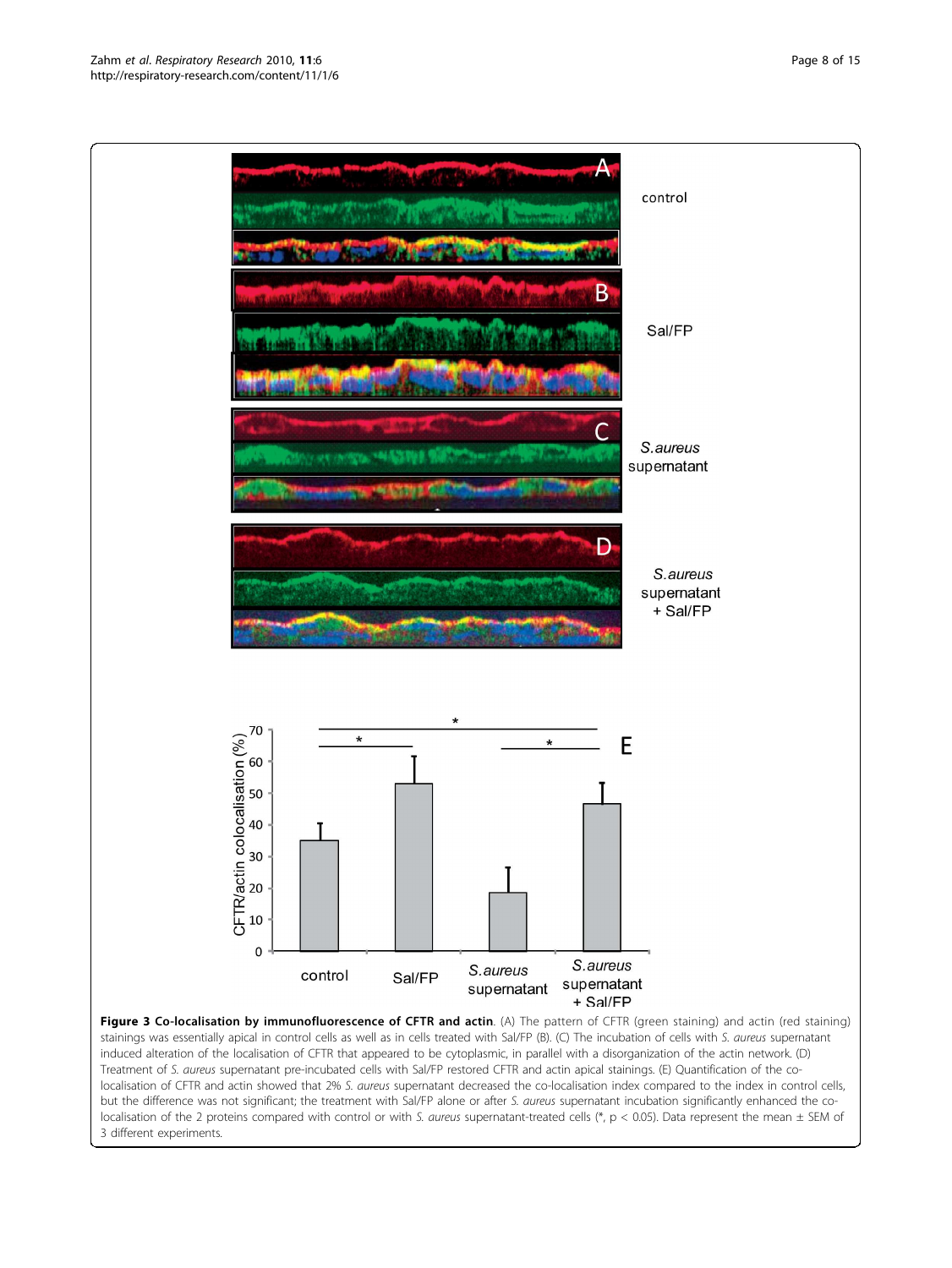<span id="page-8-0"></span>Zahm et al. Respiratory Research 2010, 11:6 http://respiratory-research.com/content/11/1/6



but the difference was not significant; the treatment with Sal/FP alone or after S. aureus supernatant incubation significantly enhanced the colocalisation of the 2 proteins compared with control or with S. aureus supernatant-treated cells (\*, p < 0.05). Data represent the mean  $\pm$  SEM of 3 different experiments.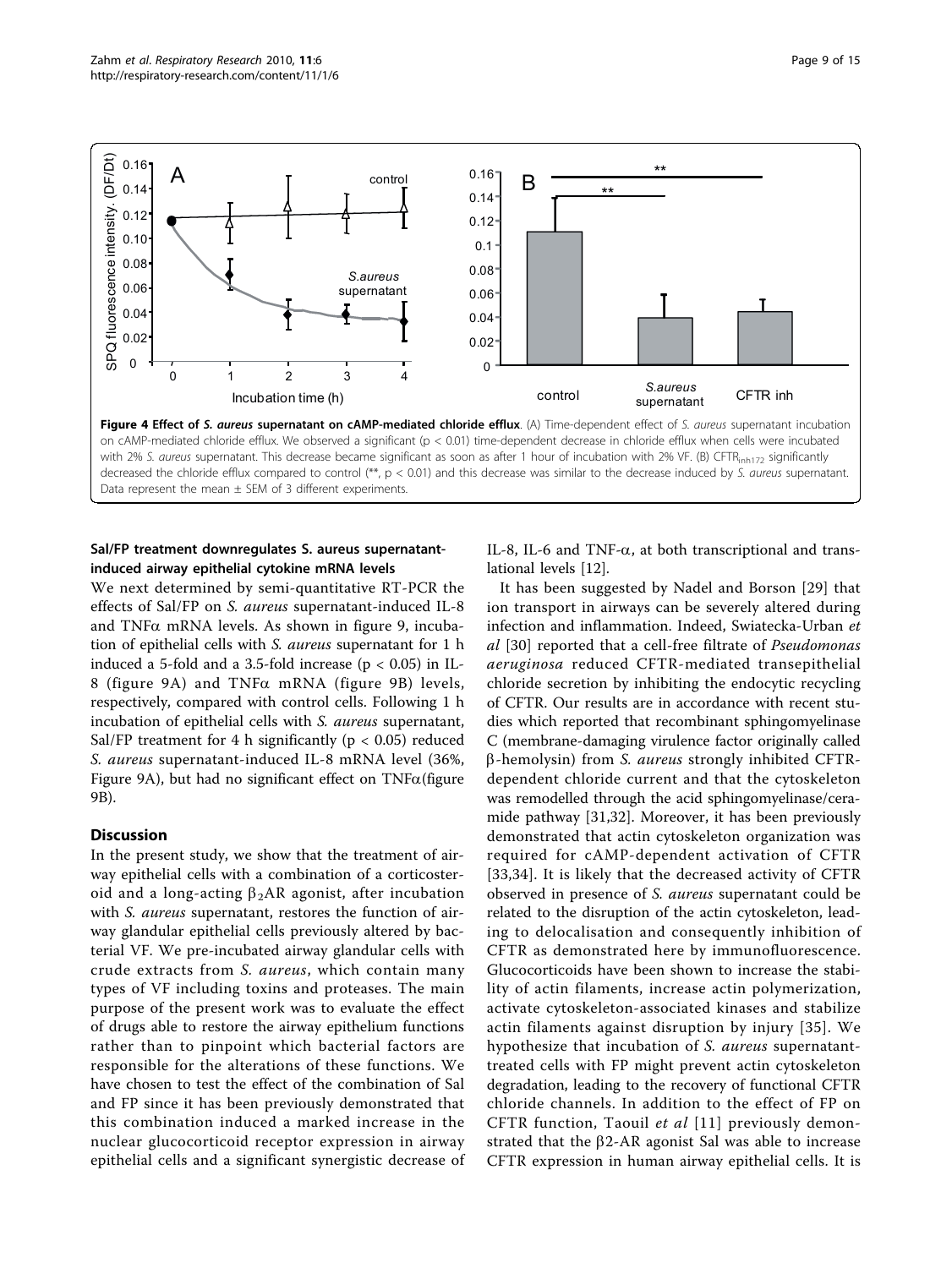<span id="page-9-0"></span>

## Sal/FP treatment downregulates S. aureus supernatantinduced airway epithelial cytokine mRNA levels

We next determined by semi-quantitative RT-PCR the effects of Sal/FP on S. aureus supernatant-induced IL-8 and TNF $\alpha$  mRNA levels. As shown in figure [9,](#page-12-0) incubation of epithelial cells with S. aureus supernatant for 1 h induced a 5-fold and a 3.5-fold increase ( $p < 0.05$ ) in IL-8 (figure [9A\)](#page-12-0) and TNFa mRNA (figure [9B](#page-12-0)) levels, respectively, compared with control cells. Following 1 h incubation of epithelial cells with *S. aureus* supernatant, Sal/FP treatment for 4 h significantly ( $p < 0.05$ ) reduced S. aureus supernatant-induced IL-8 mRNA level (36%, Figure [9A](#page-12-0)), but had no significant effect on  $TNF\alpha$ (figure [9B](#page-12-0)).

#### Discussion

In the present study, we show that the treatment of airway epithelial cells with a combination of a corticosteroid and a long-acting  $\beta_2AR$  agonist, after incubation with *S. aureus* supernatant, restores the function of airway glandular epithelial cells previously altered by bacterial VF. We pre-incubated airway glandular cells with crude extracts from S. aureus, which contain many types of VF including toxins and proteases. The main purpose of the present work was to evaluate the effect of drugs able to restore the airway epithelium functions rather than to pinpoint which bacterial factors are responsible for the alterations of these functions. We have chosen to test the effect of the combination of Sal and FP since it has been previously demonstrated that this combination induced a marked increase in the nuclear glucocorticoid receptor expression in airway epithelial cells and a significant synergistic decrease of IL-8, IL-6 and TNF- $\alpha$ , at both transcriptional and translational levels [\[12](#page-14-0)].

It has been suggested by Nadel and Borson [[29](#page-14-0)] that ion transport in airways can be severely altered during infection and inflammation. Indeed, Swiatecka-Urban et al [[30\]](#page-14-0) reported that a cell-free filtrate of Pseudomonas aeruginosa reduced CFTR-mediated transepithelial chloride secretion by inhibiting the endocytic recycling of CFTR. Our results are in accordance with recent studies which reported that recombinant sphingomyelinase C (membrane-damaging virulence factor originally called  $\beta$ -hemolysin) from S. aureus strongly inhibited CFTRdependent chloride current and that the cytoskeleton was remodelled through the acid sphingomyelinase/ceramide pathway [[31,32\]](#page-14-0). Moreover, it has been previously demonstrated that actin cytoskeleton organization was required for cAMP-dependent activation of CFTR [[33](#page-14-0),[34\]](#page-14-0). It is likely that the decreased activity of CFTR observed in presence of S. aureus supernatant could be related to the disruption of the actin cytoskeleton, leading to delocalisation and consequently inhibition of CFTR as demonstrated here by immunofluorescence. Glucocorticoids have been shown to increase the stability of actin filaments, increase actin polymerization, activate cytoskeleton-associated kinases and stabilize actin filaments against disruption by injury [[35](#page-14-0)]. We hypothesize that incubation of S. *aureus* supernatanttreated cells with FP might prevent actin cytoskeleton degradation, leading to the recovery of functional CFTR chloride channels. In addition to the effect of FP on CFTR function, Taouil et al [[11\]](#page-14-0) previously demonstrated that the  $\beta$ 2-AR agonist Sal was able to increase CFTR expression in human airway epithelial cells. It is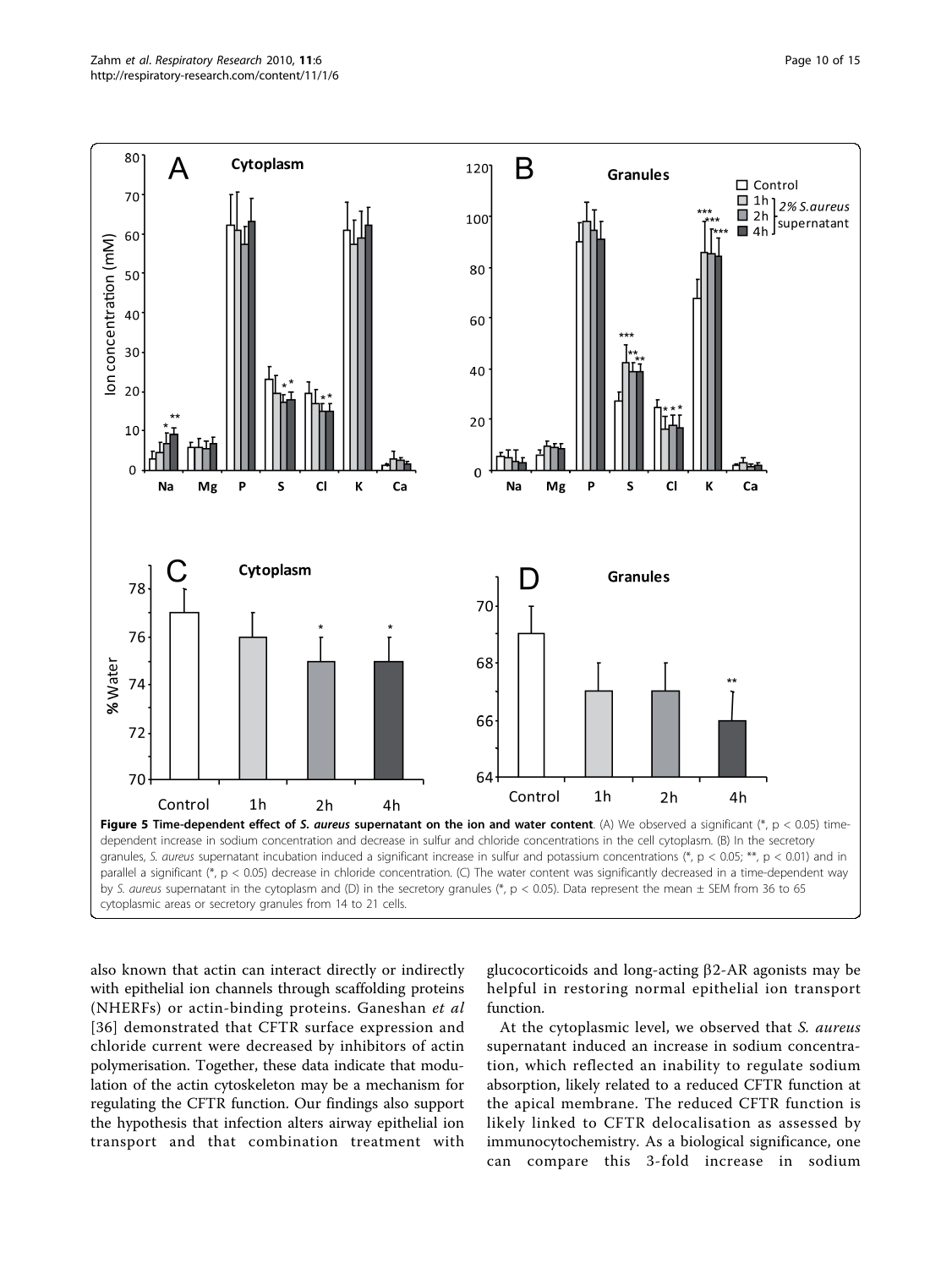<span id="page-10-0"></span>

also known that actin can interact directly or indirectly with epithelial ion channels through scaffolding proteins (NHERFs) or actin-binding proteins. Ganeshan et al [[36\]](#page-14-0) demonstrated that CFTR surface expression and chloride current were decreased by inhibitors of actin polymerisation. Together, these data indicate that modulation of the actin cytoskeleton may be a mechanism for regulating the CFTR function. Our findings also support the hypothesis that infection alters airway epithelial ion transport and that combination treatment with

glucocorticoids and long-acting  $\beta$ 2-AR agonists may be helpful in restoring normal epithelial ion transport function.

At the cytoplasmic level, we observed that S. aureus supernatant induced an increase in sodium concentration, which reflected an inability to regulate sodium absorption, likely related to a reduced CFTR function at the apical membrane. The reduced CFTR function is likely linked to CFTR delocalisation as assessed by immunocytochemistry. As a biological significance, one can compare this 3-fold increase in sodium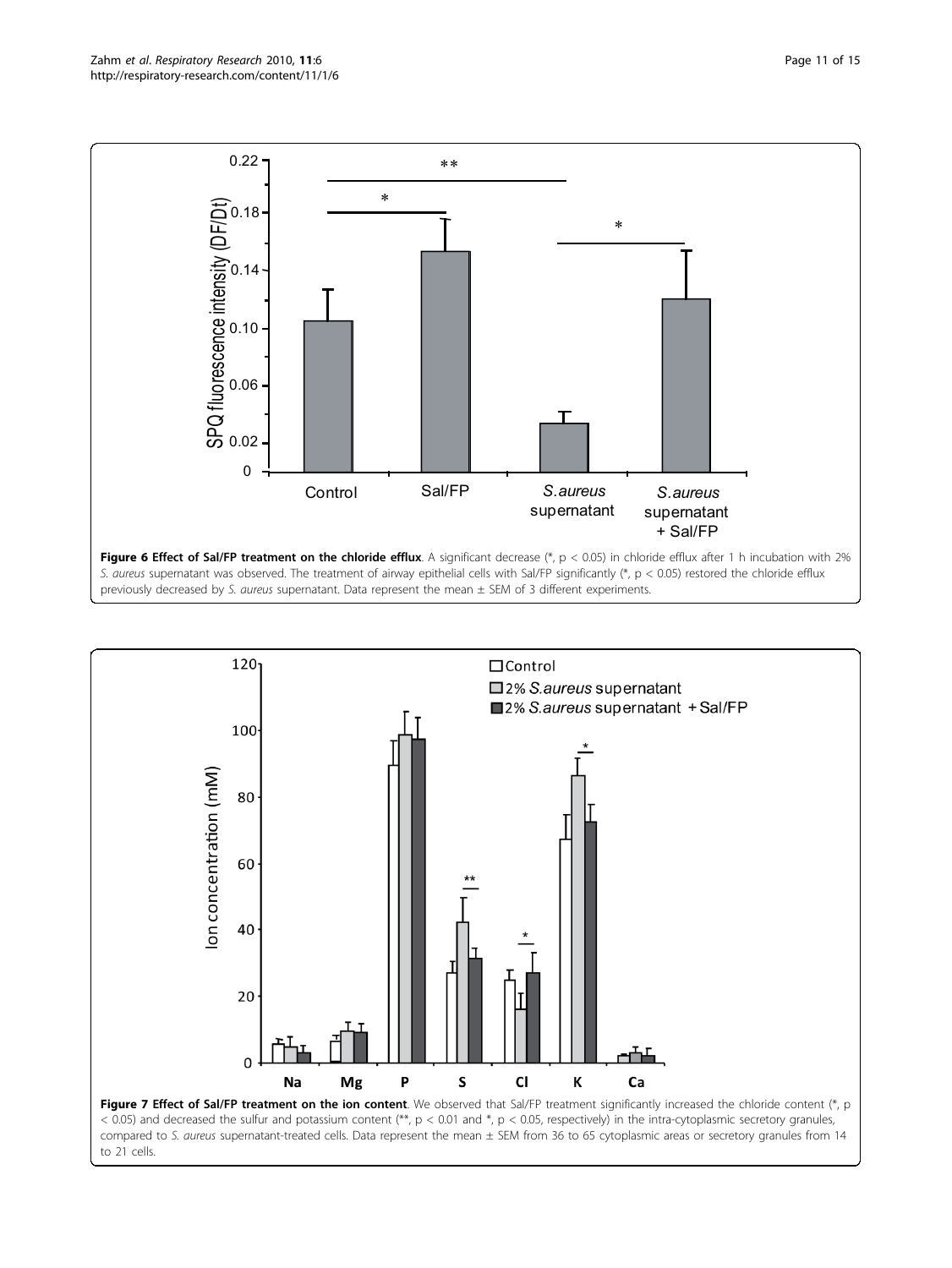<span id="page-11-0"></span>

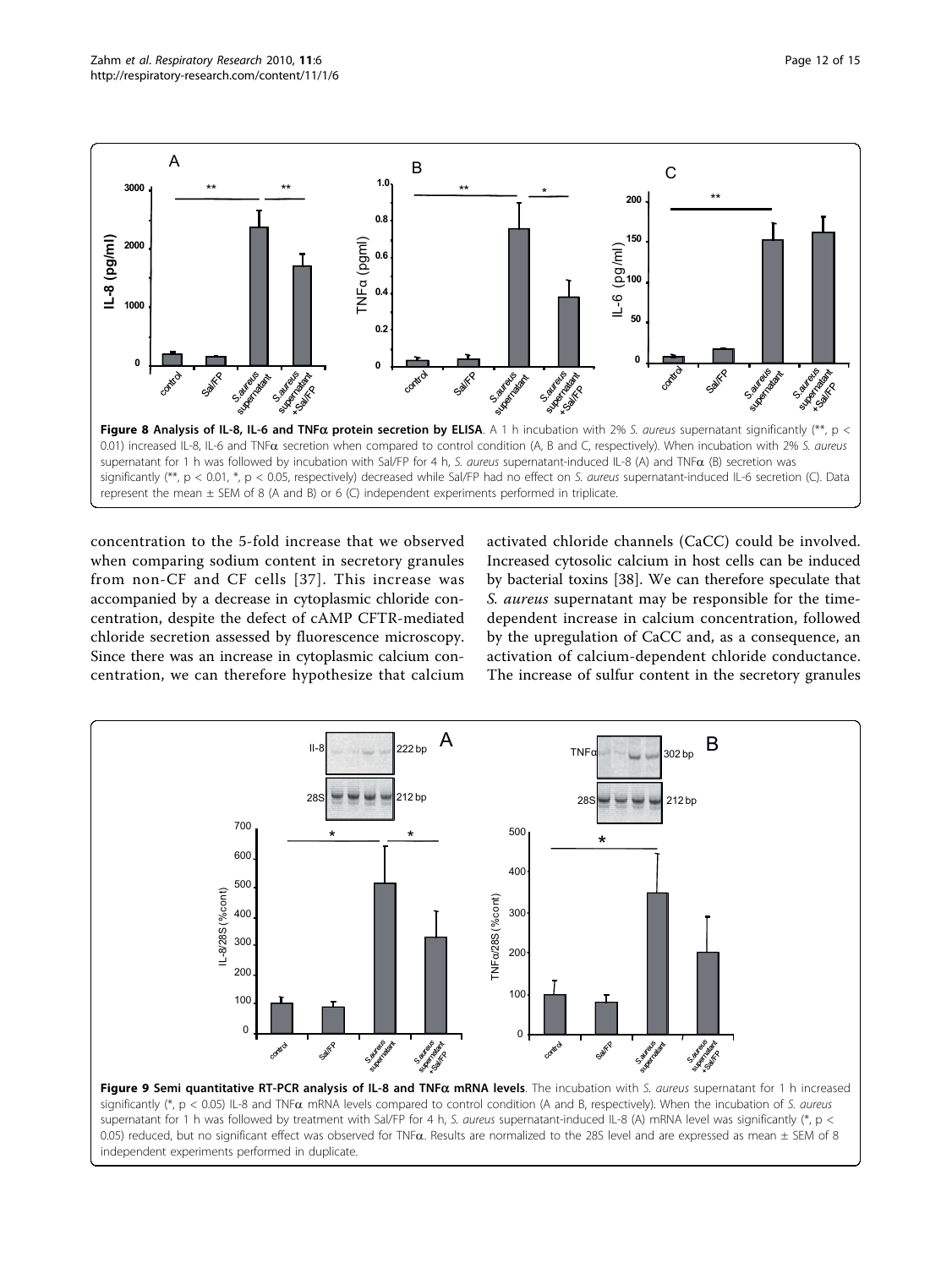<span id="page-12-0"></span>

concentration to the 5-fold increase that we observed when comparing sodium content in secretory granules from non-CF and CF cells [[37](#page-14-0)]. This increase was accompanied by a decrease in cytoplasmic chloride concentration, despite the defect of cAMP CFTR-mediated chloride secretion assessed by fluorescence microscopy. Since there was an increase in cytoplasmic calcium concentration, we can therefore hypothesize that calcium activated chloride channels (CaCC) could be involved. Increased cytosolic calcium in host cells can be induced by bacterial toxins [\[38](#page-14-0)]. We can therefore speculate that S. aureus supernatant may be responsible for the timedependent increase in calcium concentration, followed by the upregulation of CaCC and, as a consequence, an activation of calcium-dependent chloride conductance. The increase of sulfur content in the secretory granules



supernatant for 1 h was followed by treatment with Sal/FP for 4 h, S. aureus supernatant-induced IL-8 (A) mRNA level was significantly (\*, p < 0.05) reduced, but no significant effect was observed for TNF $\alpha$ . Results are normalized to the 28S level and are expressed as mean  $\pm$  SEM of 8 independent experiments performed in duplicate.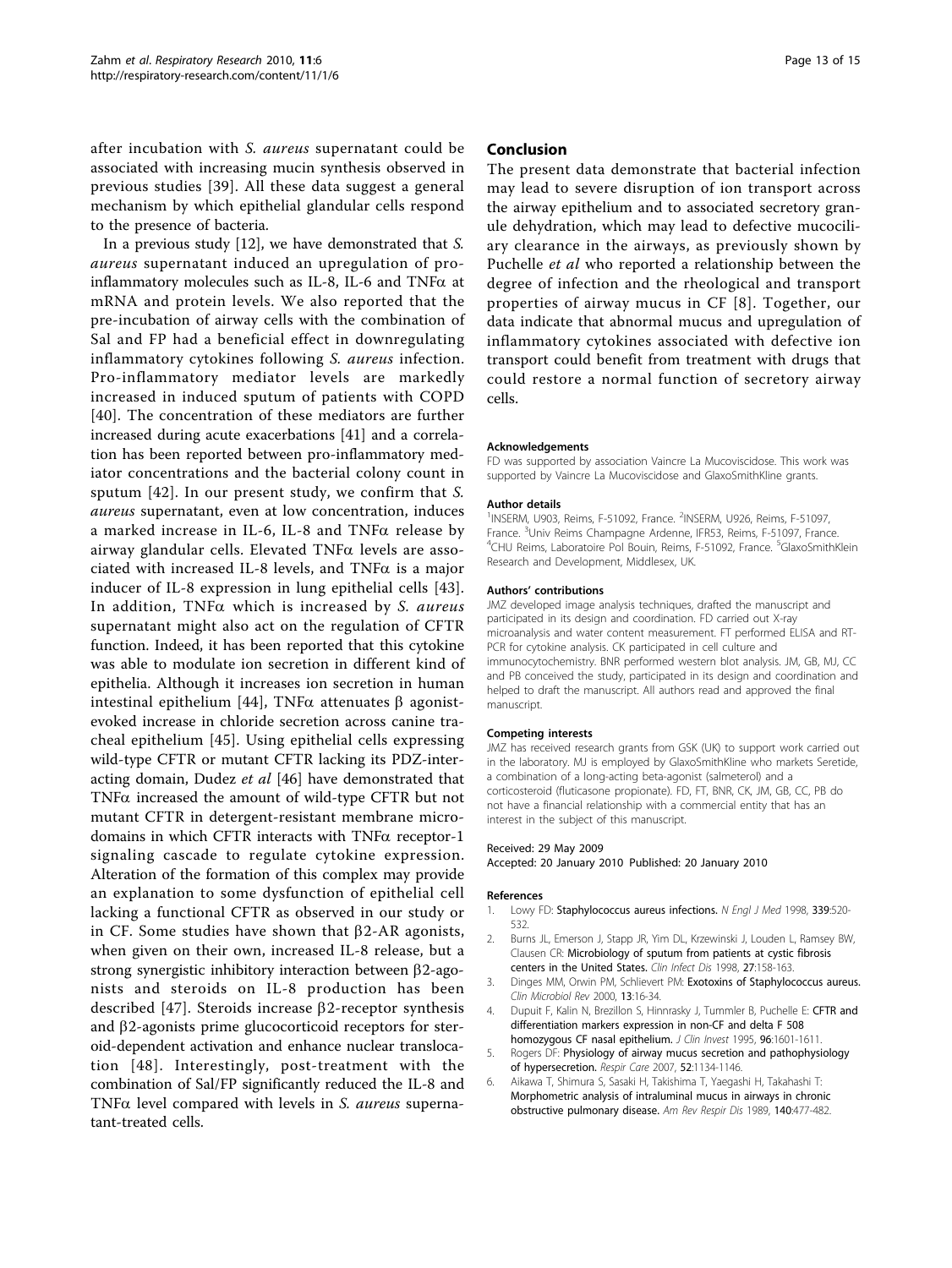<span id="page-13-0"></span>after incubation with S. aureus supernatant could be associated with increasing mucin synthesis observed in previous studies [\[39\]](#page-14-0). All these data suggest a general mechanism by which epithelial glandular cells respond to the presence of bacteria.

In a previous study [\[12](#page-14-0)], we have demonstrated that S. aureus supernatant induced an upregulation of proinflammatory molecules such as IL-8, IL-6 and TNF $\alpha$  at mRNA and protein levels. We also reported that the pre-incubation of airway cells with the combination of Sal and FP had a beneficial effect in downregulating inflammatory cytokines following S. aureus infection. Pro-inflammatory mediator levels are markedly increased in induced sputum of patients with COPD [[40](#page-14-0)]. The concentration of these mediators are further increased during acute exacerbations [\[41\]](#page-14-0) and a correlation has been reported between pro-inflammatory mediator concentrations and the bacterial colony count in sputum [[42](#page-14-0)]. In our present study, we confirm that S. aureus supernatant, even at low concentration, induces a marked increase in IL-6, IL-8 and  $TNF\alpha$  release by airway glandular cells. Elevated  $TNF\alpha$  levels are associated with increased IL-8 levels, and  $TNF\alpha$  is a major inducer of IL-8 expression in lung epithelial cells [[43](#page-14-0)]. In addition,  $TNF\alpha$  which is increased by S. aureus supernatant might also act on the regulation of CFTR function. Indeed, it has been reported that this cytokine was able to modulate ion secretion in different kind of epithelia. Although it increases ion secretion in human intestinal epithelium [[44\]](#page-14-0), TNF $\alpha$  attenuates  $\beta$  agonistevoked increase in chloride secretion across canine tracheal epithelium [\[45\]](#page-14-0). Using epithelial cells expressing wild-type CFTR or mutant CFTR lacking its PDZ-inter-acting domain, Dudez et al [\[46](#page-14-0)] have demonstrated that TNFa increased the amount of wild-type CFTR but not mutant CFTR in detergent-resistant membrane microdomains in which CFTR interacts with  $TNF\alpha$  receptor-1 signaling cascade to regulate cytokine expression. Alteration of the formation of this complex may provide an explanation to some dysfunction of epithelial cell lacking a functional CFTR as observed in our study or in CF. Some studies have shown that  $\beta$ 2-AR agonists, when given on their own, increased IL-8 release, but a strong synergistic inhibitory interaction between  $\beta$ 2-agonists and steroids on IL-8 production has been described [[47](#page-15-0)]. Steroids increase  $\beta$ 2-receptor synthesis and  $\beta$ 2-agonists prime glucocorticoid receptors for steroid-dependent activation and enhance nuclear translocation [[48](#page-15-0)]. Interestingly, post-treatment with the combination of Sal/FP significantly reduced the IL-8 and TNF $\alpha$  level compared with levels in S. aureus supernatant-treated cells.

#### Conclusion

The present data demonstrate that bacterial infection may lead to severe disruption of ion transport across the airway epithelium and to associated secretory granule dehydration, which may lead to defective mucociliary clearance in the airways, as previously shown by Puchelle et al who reported a relationship between the degree of infection and the rheological and transport properties of airway mucus in CF [[8\]](#page-14-0). Together, our data indicate that abnormal mucus and upregulation of inflammatory cytokines associated with defective ion transport could benefit from treatment with drugs that could restore a normal function of secretory airway cells.

#### Acknowledgements

FD was supported by association Vaincre La Mucoviscidose. This work was supported by Vaincre La Mucoviscidose and GlaxoSmithKline grants.

#### Author details

<sup>1</sup>INSERM, U903, Reims, F-51092, France. <sup>2</sup>INSERM, U926, Reims, F-51097 France. <sup>3</sup>Univ Reims Champagne Ardenne, IFR53, Reims, F-51097, France. <sup>4</sup>CHU Reims, Laboratoire Pol Bouin, Reims, F-51092, France. <sup>5</sup>GlaxoSmithKlein Research and Development, Middlesex, UK.

#### Authors' contributions

JMZ developed image analysis techniques, drafted the manuscript and participated in its design and coordination. FD carried out X-ray microanalysis and water content measurement. FT performed ELISA and RT-PCR for cytokine analysis. CK participated in cell culture and immunocytochemistry. BNR performed western blot analysis. JM, GB, MJ, CC and PB conceived the study, participated in its design and coordination and helped to draft the manuscript. All authors read and approved the final manuscript.

#### Competing interests

JMZ has received research grants from GSK (UK) to support work carried out in the laboratory. MJ is employed by GlaxoSmithKline who markets Seretide, a combination of a long-acting beta-agonist (salmeterol) and a corticosteroid (fluticasone propionate). FD, FT, BNR, CK, JM, GB, CC, PB do not have a financial relationship with a commercial entity that has an interest in the subject of this manuscript.

#### Received: 29 May 2009

Accepted: 20 January 2010 Published: 20 January 2010

#### References

- 1. Lowy FD: Staphylococcus aureus infections. N Engl J Med 1998, 339:520-532.
- 2. Burns JL, Emerson J, Stapp JR, Yim DL, Krzewinski J, Louden L, Ramsey BW, Clausen CR: Microbiology of sputum from patients at cystic fibrosis centers in the United States. Clin Infect Dis 1998, 27:158-163.
- 3. Dinges MM, Orwin PM, Schlievert PM: Exotoxins of Staphylococcus aureus. Clin Microbiol Rev 2000, 13:16-34.
- 4. Dupuit F, Kalin N, Brezillon S, Hinnrasky J, Tummler B, Puchelle E: CFTR and differentiation markers expression in non-CF and delta F 508 homozygous CF nasal epithelium. J Clin Invest 1995, 96:1601-1611.
- 5. Rogers DF: Physiology of airway mucus secretion and pathophysiology of hypersecretion. Respir Care 2007, 52:1134-1146.
- 6. Aikawa T, Shimura S, Sasaki H, Takishima T, Yaegashi H, Takahashi T: Morphometric analysis of intraluminal mucus in airways in chronic obstructive pulmonary disease. Am Rev Respir Dis 1989, 140:477-482.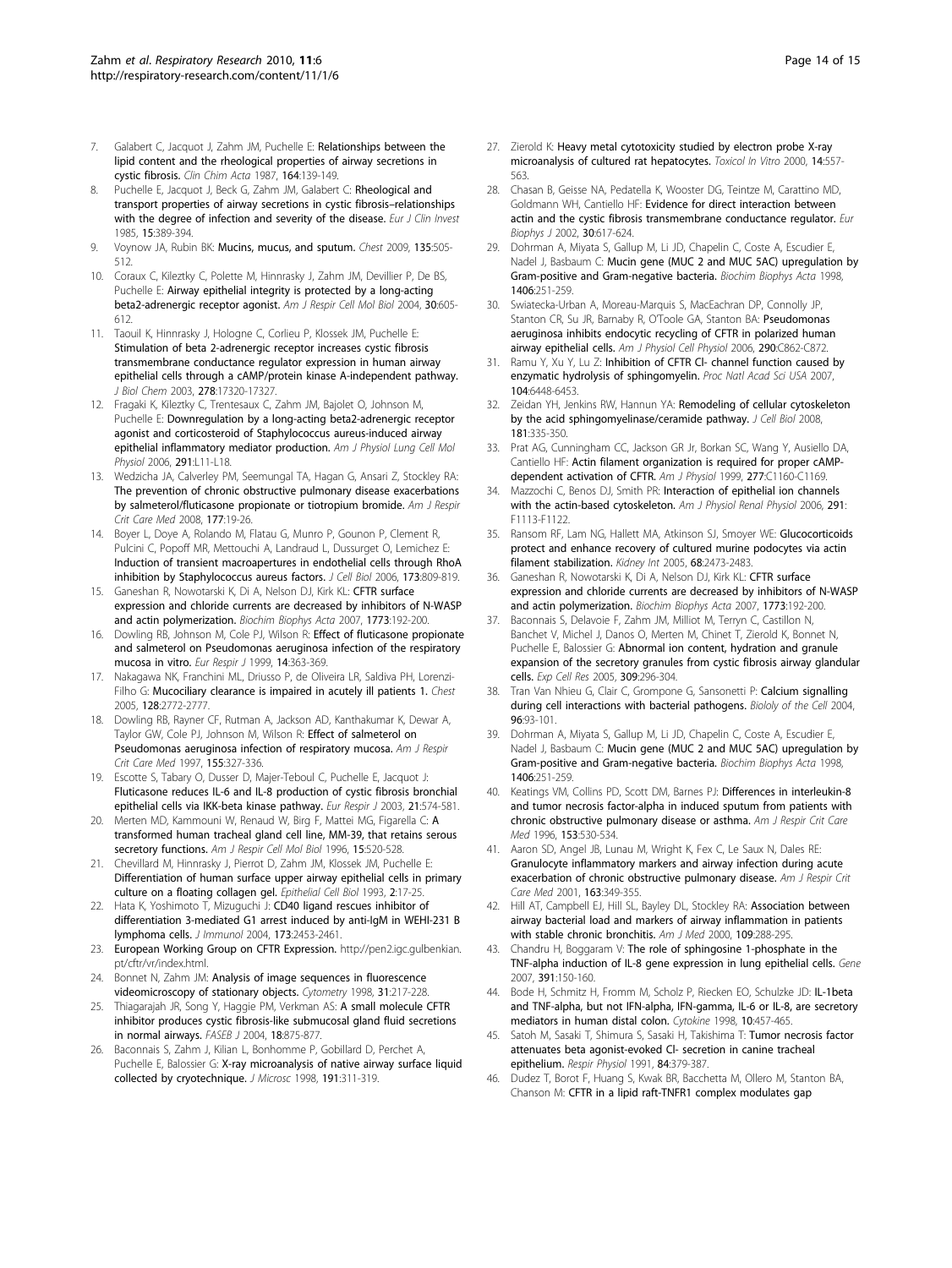- <span id="page-14-0"></span>7. Galabert C, Jacquot J, Zahm JM, Puchelle E: Relationships between the lipid content and the rheological properties of airway secretions in cystic fibrosis. Clin Chim Acta 1987, 164:139-149.
- Puchelle E, Jacquot J, Beck G, Zahm JM, Galabert C: Rheological and transport properties of airway secretions in cystic fibrosis–relationships with the degree of infection and severity of the disease. Eur J Clin Invest 1985, 15:389-394.
- 9. Voynow JA, Rubin BK: Mucins, mucus, and sputum. Chest 2009, 135:505-512.
- 10. Coraux C, Kileztky C, Polette M, Hinnrasky J, Zahm JM, Devillier P, De BS, Puchelle E: Airway epithelial integrity is protected by a long-acting beta2-adrenergic receptor agonist. Am J Respir Cell Mol Biol 2004, 30:605- 612.
- 11. Taouil K, Hinnrasky J, Hologne C, Corlieu P, Klossek JM, Puchelle E: Stimulation of beta 2-adrenergic receptor increases cystic fibrosis transmembrane conductance regulator expression in human airway epithelial cells through a cAMP/protein kinase A-independent pathway. J Biol Chem 2003, 278:17320-17327.
- 12. Fragaki K, Kileztky C, Trentesaux C, Zahm JM, Bajolet O, Johnson M, Puchelle E: Downregulation by a long-acting beta2-adrenergic receptor agonist and corticosteroid of Staphylococcus aureus-induced airway epithelial inflammatory mediator production. Am J Physiol Lung Cell Mol Physiol 2006, 291:L11-L18.
- 13. Wedzicha JA, Calverley PM, Seemungal TA, Hagan G, Ansari Z, Stockley RA: The prevention of chronic obstructive pulmonary disease exacerbations by salmeterol/fluticasone propionate or tiotropium bromide. Am J Respir Crit Care Med 2008, 177:19-26.
- 14. Boyer L, Doye A, Rolando M, Flatau G, Munro P, Gounon P, Clement R, Pulcini C, Popoff MR, Mettouchi A, Landraud L, Dussurget O, Lemichez E: Induction of transient macroapertures in endothelial cells through RhoA inhibition by Staphylococcus aureus factors. J Cell Biol 2006, 173:809-819.
- 15. Ganeshan R, Nowotarski K, Di A, Nelson DJ, Kirk KL: CFTR surface expression and chloride currents are decreased by inhibitors of N-WASP and actin polymerization. Biochim Biophys Acta 2007, 1773:192-200.
- 16. Dowling RB, Johnson M, Cole PJ, Wilson R: Effect of fluticasone propionate and salmeterol on Pseudomonas aeruginosa infection of the respiratory mucosa in vitro. Eur Respir J 1999, 14:363-369.
- 17. Nakagawa NK, Franchini ML, Driusso P, de Oliveira LR, Saldiva PH, Lorenzi-Filho G: Mucociliary clearance is impaired in acutely ill patients 1. Chest 2005, 128:2772-2777.
- 18. Dowling RB, Rayner CF, Rutman A, Jackson AD, Kanthakumar K, Dewar A, Taylor GW, Cole PJ, Johnson M, Wilson R: Effect of salmeterol on Pseudomonas aeruginosa infection of respiratory mucosa. Am J Respir Crit Care Med 1997, 155:327-336.
- 19. Escotte S, Tabary O, Dusser D, Majer-Teboul C, Puchelle E, Jacquot J: Fluticasone reduces IL-6 and IL-8 production of cystic fibrosis bronchial epithelial cells via IKK-beta kinase pathway. Eur Respir J 2003, 21:574-581.
- 20. Merten MD, Kammouni W, Renaud W, Birg F, Mattei MG, Figarella C: A transformed human tracheal gland cell line, MM-39, that retains serous secretory functions. Am J Respir Cell Mol Biol 1996, 15:520-528.
- 21. Chevillard M, Hinnrasky J, Pierrot D, Zahm JM, Klossek JM, Puchelle E: Differentiation of human surface upper airway epithelial cells in primary culture on a floating collagen gel. Epithelial Cell Biol 1993, 2:17-25.
- 22. Hata K, Yoshimoto T, Mizuguchi J: CD40 ligand rescues inhibitor of differentiation 3-mediated G1 arrest induced by anti-IgM in WEHI-231 B lymphoma cells. J Immunol 2004, 173:2453-2461.
- 23. European Working Group on CFTR Expression. http://pen2.igc.gulbenkian. pt/cftr/vr/index.html.
- 24. Bonnet N, Zahm JM: Analysis of image sequences in fluorescence videomicroscopy of stationary objects. Cytometry 1998, 31:217-228.
- 25. Thiagarajah JR, Song Y, Haggie PM, Verkman AS: A small molecule CFTR inhibitor produces cystic fibrosis-like submucosal gland fluid secretions in normal airways. FASEB J 2004, 18:875-877.
- 26. Baconnais S, Zahm J, Kilian L, Bonhomme P, Gobillard D, Perchet A, Puchelle E, Balossier G: X-ray microanalysis of native airway surface liquid collected by cryotechnique. J Microsc 1998, 191:311-319.
- 27. Zierold K: Heavy metal cytotoxicity studied by electron probe X-ray microanalysis of cultured rat hepatocytes. Toxicol In Vitro 2000, 14:557- 563.
- 28. Chasan B, Geisse NA, Pedatella K, Wooster DG, Teintze M, Carattino MD, Goldmann WH, Cantiello HF: Evidence for direct interaction between actin and the cystic fibrosis transmembrane conductance regulator. Eur Biophys J 2002, 30:617-624.
- 29. Dohrman A, Miyata S, Gallup M, Li JD, Chapelin C, Coste A, Escudier E, Nadel J, Basbaum C: Mucin gene (MUC 2 and MUC 5AC) upregulation by Gram-positive and Gram-negative bacteria. Biochim Biophys Acta 1998, 1406:251-259.
- 30. Swiatecka-Urban A, Moreau-Marquis S, MacEachran DP, Connolly JP, Stanton CR, Su JR, Barnaby R, O'Toole GA, Stanton BA: Pseudomonas aeruginosa inhibits endocytic recycling of CFTR in polarized human airway epithelial cells. Am J Physiol Cell Physiol 2006, 290:C862-C872.
- 31. Ramu Y, Xu Y, Lu Z: Inhibition of CFTR CI- channel function caused by enzymatic hydrolysis of sphingomyelin. Proc Natl Acad Sci USA 2007, 104:6448-6453.
- 32. Zeidan YH, Jenkins RW, Hannun YA: Remodeling of cellular cytoskeleton by the acid sphingomyelinase/ceramide pathway. J Cell Biol 2008, 181:335-350.
- 33. Prat AG, Cunningham CC, Jackson GR Jr, Borkan SC, Wang Y, Ausiello DA, Cantiello HF: Actin filament organization is required for proper cAMPdependent activation of CFTR. Am J Physiol 1999, 277:C1160-C1169.
- 34. Mazzochi C, Benos DJ, Smith PR: Interaction of epithelial ion channels with the actin-based cytoskeleton. Am J Physiol Renal Physiol 2006, 291: F1113-F1122.
- 35. Ransom RF, Lam NG, Hallett MA, Atkinson SJ, Smoyer WE: Glucocorticoids protect and enhance recovery of cultured murine podocytes via actin filament stabilization. Kidney Int 2005, 68:2473-2483.
- 36. Ganeshan R, Nowotarski K, Di A, Nelson DJ, Kirk KL: CFTR surface expression and chloride currents are decreased by inhibitors of N-WASP and actin polymerization. Biochim Biophys Acta 2007, 1773:192-200.
- 37. Baconnais S, Delavoie F, Zahm JM, Milliot M, Terryn C, Castillon N, Banchet V, Michel J, Danos O, Merten M, Chinet T, Zierold K, Bonnet N, Puchelle E, Balossier G: Abnormal ion content, hydration and granule expansion of the secretory granules from cystic fibrosis airway glandular cells. Exp Cell Res 2005, 309:296-304.
- 38. Tran Van Nhieu G, Clair C, Grompone G, Sansonetti P: Calcium signalling during cell interactions with bacterial pathogens. Biololy of the Cell 2004, 96:93-101.
- 39. Dohrman A, Miyata S, Gallup M, Li JD, Chapelin C, Coste A, Escudier E, Nadel J, Basbaum C: Mucin gene (MUC 2 and MUC 5AC) upregulation by Gram-positive and Gram-negative bacteria. Biochim Biophys Acta 1998, 1406:251-259.
- 40. Keatings VM, Collins PD, Scott DM, Barnes PJ: Differences in interleukin-8 and tumor necrosis factor-alpha in induced sputum from patients with chronic obstructive pulmonary disease or asthma. Am J Respir Crit Care Med 1996, 153:530-534.
- 41. Aaron SD, Angel JB, Lunau M, Wright K, Fex C, Le Saux N, Dales RE: Granulocyte inflammatory markers and airway infection during acute exacerbation of chronic obstructive pulmonary disease. Am J Respir Crit Care Med 2001, 163:349-355.
- 42. Hill AT, Campbell EJ, Hill SL, Bayley DL, Stockley RA: Association between airway bacterial load and markers of airway inflammation in patients with stable chronic bronchitis. Am J Med 2000, 109:288-295.
- 43. Chandru H, Boggaram V: The role of sphingosine 1-phosphate in the TNF-alpha induction of IL-8 gene expression in lung epithelial cells. Gene 2007, 391:150-160.
- 44. Bode H, Schmitz H, Fromm M, Scholz P, Riecken EO, Schulzke JD: IL-1beta and TNF-alpha, but not IFN-alpha, IFN-gamma, IL-6 or IL-8, are secretory mediators in human distal colon. Cytokine 1998, 10:457-465.
- 45. Satoh M, Sasaki T, Shimura S, Sasaki H, Takishima T: Tumor necrosis factor attenuates beta agonist-evoked Cl- secretion in canine tracheal epithelium. Respir Physiol 1991, 84:379-387.
- 46. Dudez T, Borot F, Huang S, Kwak BR, Bacchetta M, Ollero M, Stanton BA, Chanson M: CFTR in a lipid raft-TNFR1 complex modulates gap